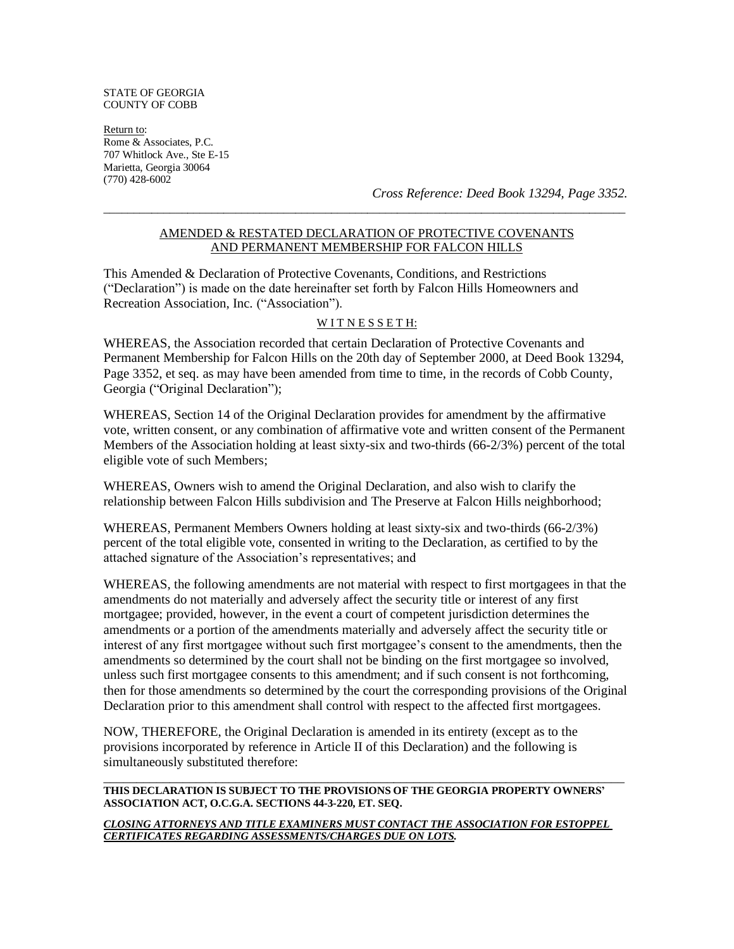#### STATE OF GEORGIA COUNTY OF COBB

Return to: Rome & Associates, P.C. 707 Whitlock Ave., Ste E-15 Marietta, Georgia 30064 (770) 428-6002

*Cross Reference: Deed Book 13294, Page 3352.*

## AMENDED & RESTATED DECLARATION OF PROTECTIVE COVENANTS AND PERMANENT MEMBERSHIP FOR FALCON HILLS

 $\_$  ,  $\_$  ,  $\_$  ,  $\_$  ,  $\_$  ,  $\_$  ,  $\_$  ,  $\_$  ,  $\_$  ,  $\_$  ,  $\_$  ,  $\_$  ,  $\_$  ,  $\_$  ,  $\_$  ,  $\_$  ,  $\_$  ,  $\_$  ,  $\_$  ,  $\_$  ,  $\_$  ,  $\_$  ,  $\_$  ,  $\_$  ,  $\_$  ,  $\_$  ,  $\_$  ,  $\_$  ,  $\_$  ,  $\_$  ,  $\_$  ,  $\_$  ,  $\_$  ,  $\_$  ,  $\_$  ,  $\_$  ,  $\_$  ,

This Amended & Declaration of Protective Covenants, Conditions, and Restrictions ("Declaration") is made on the date hereinafter set forth by Falcon Hills Homeowners and Recreation Association, Inc. ("Association").

#### WITNESSETH:

WHEREAS, the Association recorded that certain Declaration of Protective Covenants and Permanent Membership for Falcon Hills on the 20th day of September 2000, at Deed Book 13294, Page 3352, et seq. as may have been amended from time to time, in the records of Cobb County, Georgia ("Original Declaration");

WHEREAS, Section 14 of the Original Declaration provides for amendment by the affirmative vote, written consent, or any combination of affirmative vote and written consent of the Permanent Members of the Association holding at least sixty-six and two-thirds (66-2/3%) percent of the total eligible vote of such Members;

WHEREAS, Owners wish to amend the Original Declaration, and also wish to clarify the relationship between Falcon Hills subdivision and The Preserve at Falcon Hills neighborhood;

WHEREAS, Permanent Members Owners holding at least sixty-six and two-thirds (66-2/3%) percent of the total eligible vote, consented in writing to the Declaration, as certified to by the attached signature of the Association's representatives; and

WHEREAS, the following amendments are not material with respect to first mortgagees in that the amendments do not materially and adversely affect the security title or interest of any first mortgagee; provided, however, in the event a court of competent jurisdiction determines the amendments or a portion of the amendments materially and adversely affect the security title or interest of any first mortgagee without such first mortgagee's consent to the amendments, then the amendments so determined by the court shall not be binding on the first mortgagee so involved, unless such first mortgagee consents to this amendment; and if such consent is not forthcoming, then for those amendments so determined by the court the corresponding provisions of the Original Declaration prior to this amendment shall control with respect to the affected first mortgagees.

NOW, THEREFORE, the Original Declaration is amended in its entirety (except as to the provisions incorporated by reference in Article II of this Declaration) and the following is simultaneously substituted therefore:

#### **THIS DECLARATION IS SUBJECT TO THE PROVISIONS OF THE GEORGIA PROPERTY OWNERS' ASSOCIATION ACT, O.C.G.A. SECTIONS 44-3-220, ET. SEQ.**

\_\_\_\_\_\_\_\_\_\_\_\_\_\_\_\_\_\_\_\_\_\_\_\_\_\_\_\_\_\_\_\_\_\_\_\_\_\_\_\_\_\_\_\_\_\_\_\_\_\_\_\_\_\_\_\_\_\_\_\_\_\_\_\_\_\_\_\_\_\_\_\_\_\_\_\_\_\_\_

*CLOSING ATTORNEYS AND TITLE EXAMINERS MUST CONTACT THE ASSOCIATION FOR ESTOPPEL CERTIFICATES REGARDING ASSESSMENTS/CHARGES DUE ON LOTS.*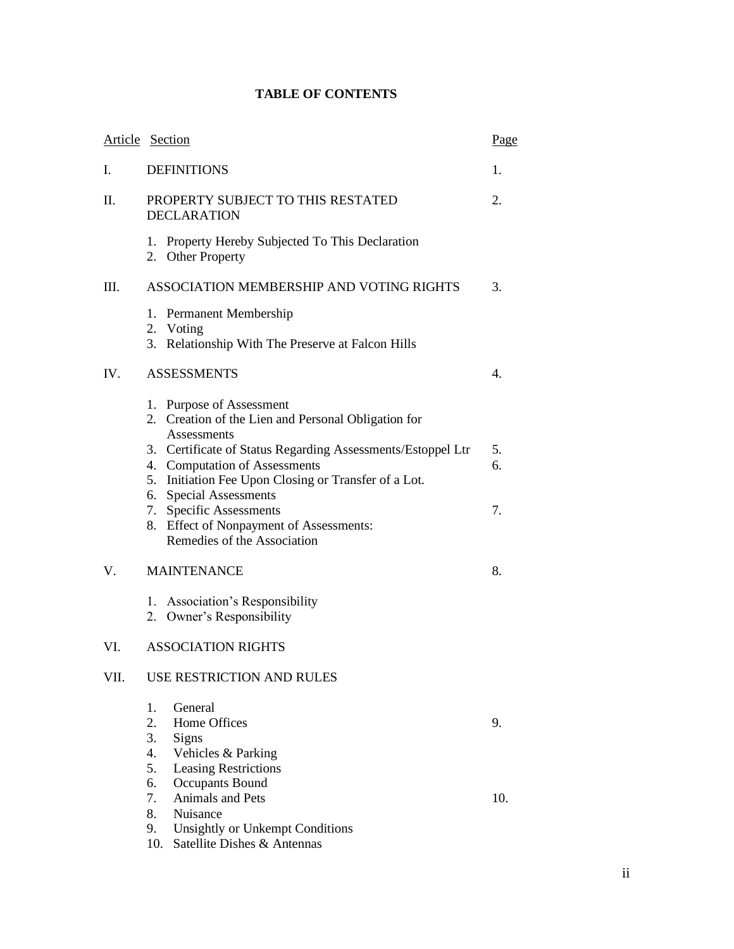# **TABLE OF CONTENTS**

|      | Article Section                                                                                                                                                                                              | Page      |
|------|--------------------------------------------------------------------------------------------------------------------------------------------------------------------------------------------------------------|-----------|
| I.   | <b>DEFINITIONS</b>                                                                                                                                                                                           | 1.        |
| П.   | PROPERTY SUBJECT TO THIS RESTATED<br><b>DECLARATION</b>                                                                                                                                                      | 2.        |
|      | 1. Property Hereby Subjected To This Declaration<br>2. Other Property                                                                                                                                        |           |
| Ш.   | ASSOCIATION MEMBERSHIP AND VOTING RIGHTS                                                                                                                                                                     | 3.        |
|      | Permanent Membership<br>1.<br>2. Voting<br>3. Relationship With The Preserve at Falcon Hills                                                                                                                 |           |
| IV.  | <b>ASSESSMENTS</b>                                                                                                                                                                                           | 4.        |
|      | 1. Purpose of Assessment<br>2. Creation of the Lien and Personal Obligation for<br>Assessments<br>3. Certificate of Status Regarding Assessments/Estoppel Ltr                                                | 5.        |
|      | 4. Computation of Assessments<br>5. Initiation Fee Upon Closing or Transfer of a Lot.<br><b>Special Assessments</b><br>6.<br><b>Specific Assessments</b><br>7.<br>Effect of Nonpayment of Assessments:<br>8. | 6.<br>7.  |
|      | Remedies of the Association                                                                                                                                                                                  |           |
| V.   | <b>MAINTENANCE</b>                                                                                                                                                                                           | 8.        |
|      | 1. Association's Responsibility<br>2. Owner's Responsibility                                                                                                                                                 |           |
| VI.  | <b>ASSOCIATION RIGHTS</b>                                                                                                                                                                                    |           |
| VII. | <b>USE RESTRICTION AND RULES</b>                                                                                                                                                                             |           |
|      | 1.<br>General<br>2.<br>Home Offices<br>3.<br>Signs<br>4.<br>Vehicles & Parking<br>5.<br><b>Leasing Restrictions</b><br>6.<br><b>Occupants Bound</b><br>7.<br>Animals and Pets                                | 9.<br>10. |
|      | 8.<br>Nuisance<br>9.<br><b>Unsightly or Unkempt Conditions</b><br>Satellite Dishes & Antennas<br>10.                                                                                                         |           |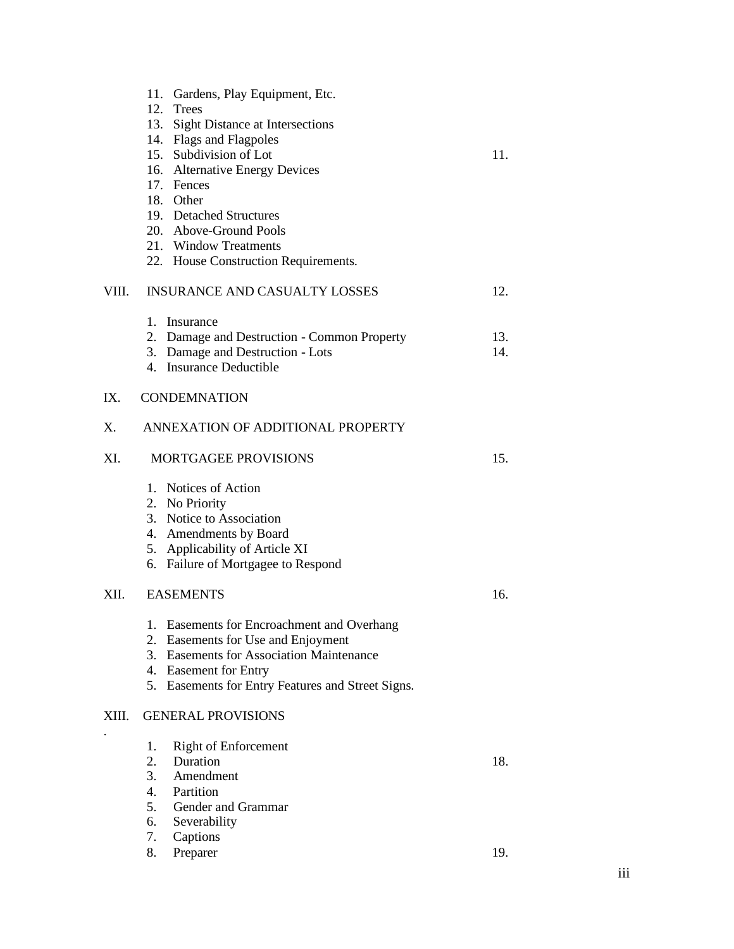|       | 11. Gardens, Play Equipment, Etc.<br>12. Trees<br>13. Sight Distance at Intersections<br>14. Flags and Flagpoles<br>15. Subdivision of Lot<br>16. Alternative Energy Devices<br>17. Fences<br>18. Other<br>19. Detached Structures<br>20. Above-Ground Pools<br>21. Window Treatments<br>22. House Construction Requirements. | 11.        |  |
|-------|-------------------------------------------------------------------------------------------------------------------------------------------------------------------------------------------------------------------------------------------------------------------------------------------------------------------------------|------------|--|
| VIII. | <b>INSURANCE AND CASUALTY LOSSES</b>                                                                                                                                                                                                                                                                                          | 12.        |  |
|       | 1. Insurance<br>2. Damage and Destruction - Common Property<br>3. Damage and Destruction - Lots<br>4. Insurance Deductible                                                                                                                                                                                                    | 13.<br>14. |  |
| IX.   | <b>CONDEMNATION</b>                                                                                                                                                                                                                                                                                                           |            |  |
| Χ.    | ANNEXATION OF ADDITIONAL PROPERTY                                                                                                                                                                                                                                                                                             |            |  |
| XI.   | <b>MORTGAGEE PROVISIONS</b>                                                                                                                                                                                                                                                                                                   | 15.        |  |
|       | 1. Notices of Action<br>2. No Priority<br>3. Notice to Association<br>4. Amendments by Board<br>5. Applicability of Article XI<br>6. Failure of Mortgagee to Respond                                                                                                                                                          |            |  |
| XII.  | <b>EASEMENTS</b>                                                                                                                                                                                                                                                                                                              | 16.        |  |
|       | 1. Easements for Encroachment and Overhang<br>2. Easements for Use and Enjoyment<br>3. Easements for Association Maintenance<br>4. Easement for Entry<br>5. Easements for Entry Features and Street Signs.                                                                                                                    |            |  |
| XIII. | <b>GENERAL PROVISIONS</b>                                                                                                                                                                                                                                                                                                     |            |  |
|       | <b>Right of Enforcement</b><br>1.<br>2.<br>Duration<br>3.<br>Amendment<br>4.<br>Partition<br>5.<br>Gender and Grammar<br>6.<br>Severability<br>7.<br>Captions                                                                                                                                                                 | 18.        |  |
|       | Preparer<br>8.                                                                                                                                                                                                                                                                                                                | 19.        |  |

# iii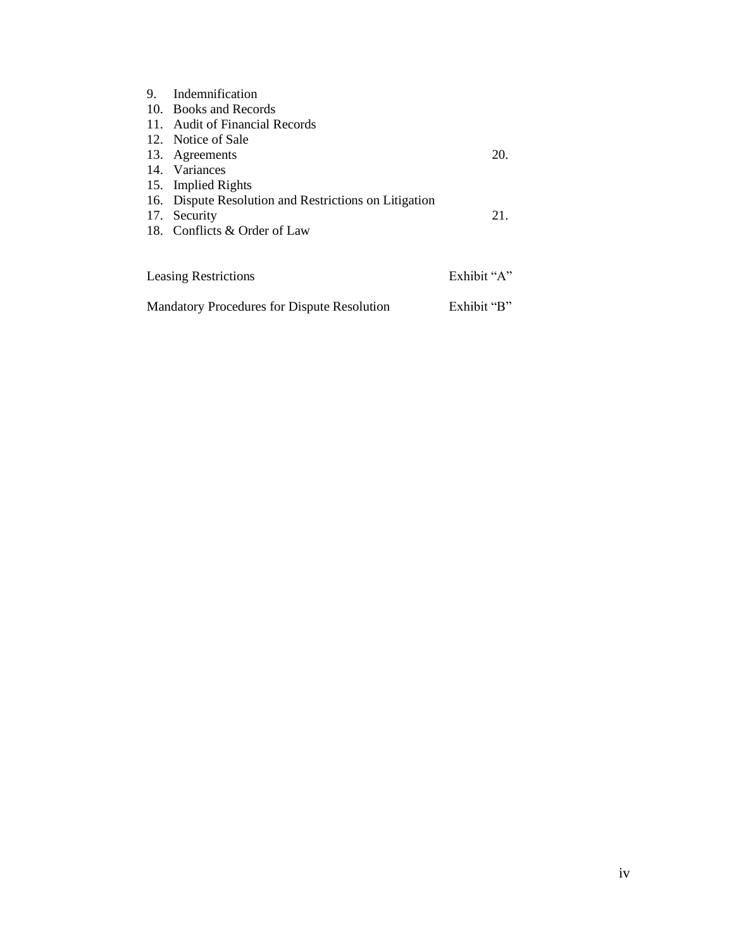| 9.                          | Indemnification                                       |             |
|-----------------------------|-------------------------------------------------------|-------------|
|                             | 10. Books and Records                                 |             |
|                             | 11. Audit of Financial Records                        |             |
|                             | 12. Notice of Sale                                    |             |
|                             | 13. Agreements                                        | 20.         |
|                             | 14. Variances                                         |             |
|                             | 15. Implied Rights                                    |             |
|                             | 16. Dispute Resolution and Restrictions on Litigation |             |
|                             | 17. Security                                          | 21.         |
|                             | 18. Conflicts & Order of Law                          |             |
|                             |                                                       |             |
|                             |                                                       |             |
| <b>Leasing Restrictions</b> |                                                       | Exhibit "A" |

| <b>Mandatory Procedures for Dispute Resolution</b> | Exhibit "B" |
|----------------------------------------------------|-------------|
|                                                    |             |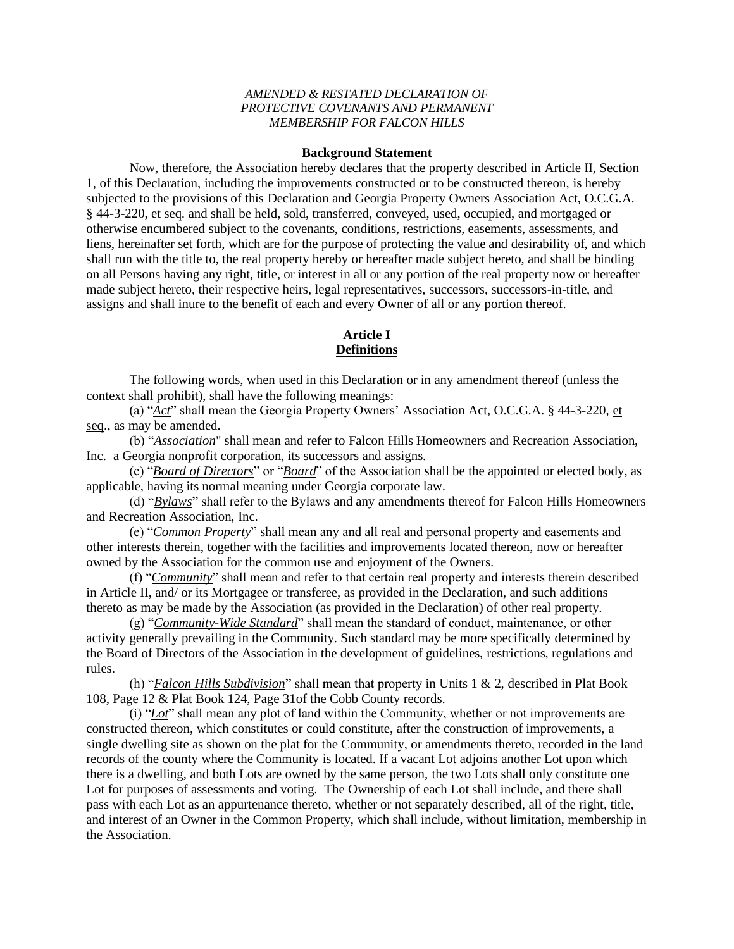## *AMENDED & RESTATED DECLARATION OF PROTECTIVE COVENANTS AND PERMANENT MEMBERSHIP FOR FALCON HILLS*

#### **Background Statement**

Now, therefore, the Association hereby declares that the property described in Article II, Section 1, of this Declaration, including the improvements constructed or to be constructed thereon, is hereby subjected to the provisions of this Declaration and Georgia Property Owners Association Act, O.C.G.A. § 44-3-220, et seq. and shall be held, sold, transferred, conveyed, used, occupied, and mortgaged or otherwise encumbered subject to the covenants, conditions, restrictions, easements, assessments, and liens, hereinafter set forth, which are for the purpose of protecting the value and desirability of, and which shall run with the title to, the real property hereby or hereafter made subject hereto, and shall be binding on all Persons having any right, title, or interest in all or any portion of the real property now or hereafter made subject hereto, their respective heirs, legal representatives, successors, successors-in-title, and assigns and shall inure to the benefit of each and every Owner of all or any portion thereof.

## **Article I Definitions**

The following words, when used in this Declaration or in any amendment thereof (unless the context shall prohibit), shall have the following meanings:

 (a) "*Act*" shall mean the Georgia Property Owners' Association Act, O.C.G.A. § 44-3-220, et seq., as may be amended.

(b) "*Association*" shall mean and refer to Falcon Hills Homeowners and Recreation Association, Inc. a Georgia nonprofit corporation, its successors and assigns.

 (c) "*Board of Directors*" or "*Board*" of the Association shall be the appointed or elected body, as applicable, having its normal meaning under Georgia corporate law.

 (d) "*Bylaws*" shall refer to the Bylaws and any amendments thereof for Falcon Hills Homeowners and Recreation Association, Inc.

 (e) "*Common Property*" shall mean any and all real and personal property and easements and other interests therein, together with the facilities and improvements located thereon, now or hereafter owned by the Association for the common use and enjoyment of the Owners.

 (f) "*Community*" shall mean and refer to that certain real property and interests therein described in Article II, and/ or its Mortgagee or transferee, as provided in the Declaration, and such additions thereto as may be made by the Association (as provided in the Declaration) of other real property.

 (g) "*Community-Wide Standard*" shall mean the standard of conduct, maintenance, or other activity generally prevailing in the Community. Such standard may be more specifically determined by the Board of Directors of the Association in the development of guidelines, restrictions, regulations and rules.

(h) "*Falcon Hills Subdivision*" shall mean that property in Units 1 & 2, described in Plat Book 108, Page 12 & Plat Book 124, Page 31of the Cobb County records.

 (i) "*Lot*" shall mean any plot of land within the Community, whether or not improvements are constructed thereon, which constitutes or could constitute, after the construction of improvements, a single dwelling site as shown on the plat for the Community, or amendments thereto, recorded in the land records of the county where the Community is located. If a vacant Lot adjoins another Lot upon which there is a dwelling, and both Lots are owned by the same person, the two Lots shall only constitute one Lot for purposes of assessments and voting. The Ownership of each Lot shall include, and there shall pass with each Lot as an appurtenance thereto, whether or not separately described, all of the right, title, and interest of an Owner in the Common Property, which shall include, without limitation, membership in the Association.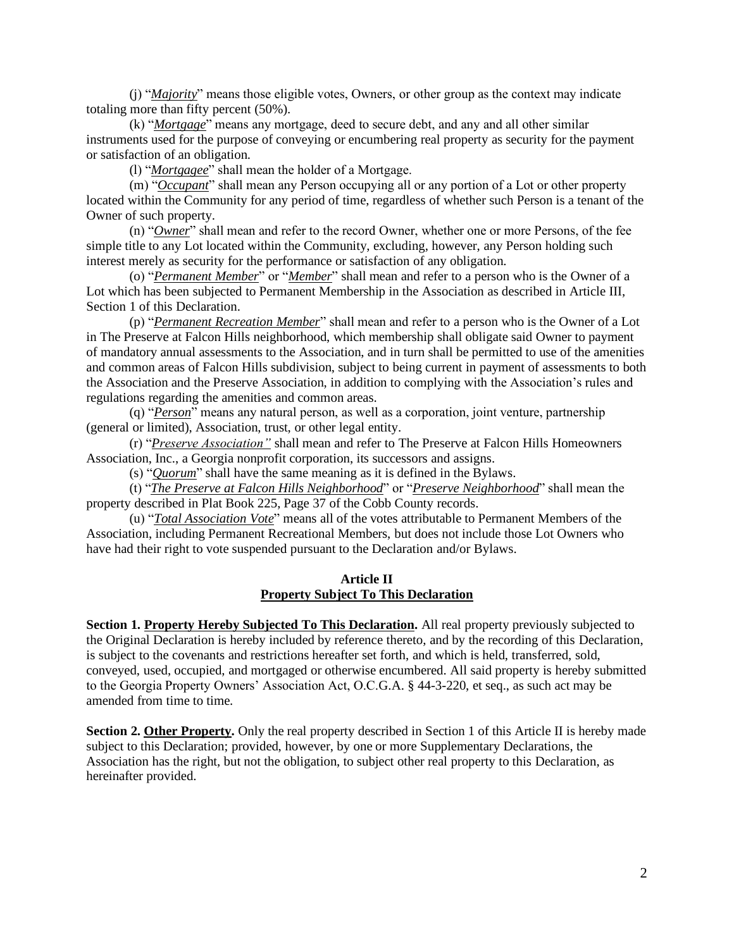(j) "*Majority*" means those eligible votes, Owners, or other group as the context may indicate totaling more than fifty percent (50%).

 (k) "*Mortgage*" means any mortgage, deed to secure debt, and any and all other similar instruments used for the purpose of conveying or encumbering real property as security for the payment or satisfaction of an obligation.

(l) "*Mortgagee*" shall mean the holder of a Mortgage.

 (m) "*Occupant*" shall mean any Person occupying all or any portion of a Lot or other property located within the Community for any period of time, regardless of whether such Person is a tenant of the Owner of such property.

 (n) "*Owner*" shall mean and refer to the record Owner, whether one or more Persons, of the fee simple title to any Lot located within the Community, excluding, however, any Person holding such interest merely as security for the performance or satisfaction of any obligation.

 (o) "*Permanent Member*" or "*Member*" shall mean and refer to a person who is the Owner of a Lot which has been subjected to Permanent Membership in the Association as described in Article III, Section 1 of this Declaration.

(p) "*Permanent Recreation Member*" shall mean and refer to a person who is the Owner of a Lot in The Preserve at Falcon Hills neighborhood, which membership shall obligate said Owner to payment of mandatory annual assessments to the Association, and in turn shall be permitted to use of the amenities and common areas of Falcon Hills subdivision, subject to being current in payment of assessments to both the Association and the Preserve Association, in addition to complying with the Association's rules and regulations regarding the amenities and common areas.

(q) "*Person*" means any natural person, as well as a corporation, joint venture, partnership (general or limited), Association, trust, or other legal entity.

(r) "*Preserve Association"* shall mean and refer to The Preserve at Falcon Hills Homeowners Association, Inc., a Georgia nonprofit corporation, its successors and assigns.

(s) "*Quorum*" shall have the same meaning as it is defined in the Bylaws.

 (t) "*The Preserve at Falcon Hills Neighborhood*" or "*Preserve Neighborhood*" shall mean the property described in Plat Book 225, Page 37 of the Cobb County records.

 (u) "*Total Association Vote*" means all of the votes attributable to Permanent Members of the Association, including Permanent Recreational Members, but does not include those Lot Owners who have had their right to vote suspended pursuant to the Declaration and/or Bylaws.

## **Article II Property Subject To This Declaration**

**Section 1. Property Hereby Subjected To This Declaration.** All real property previously subjected to the Original Declaration is hereby included by reference thereto, and by the recording of this Declaration, is subject to the covenants and restrictions hereafter set forth, and which is held, transferred, sold, conveyed, used, occupied, and mortgaged or otherwise encumbered. All said property is hereby submitted to the Georgia Property Owners' Association Act, O.C.G.A. § 44-3-220, et seq., as such act may be amended from time to time.

**Section 2. Other Property.** Only the real property described in Section 1 of this Article II is hereby made subject to this Declaration; provided, however, by one or more Supplementary Declarations, the Association has the right, but not the obligation, to subject other real property to this Declaration, as hereinafter provided.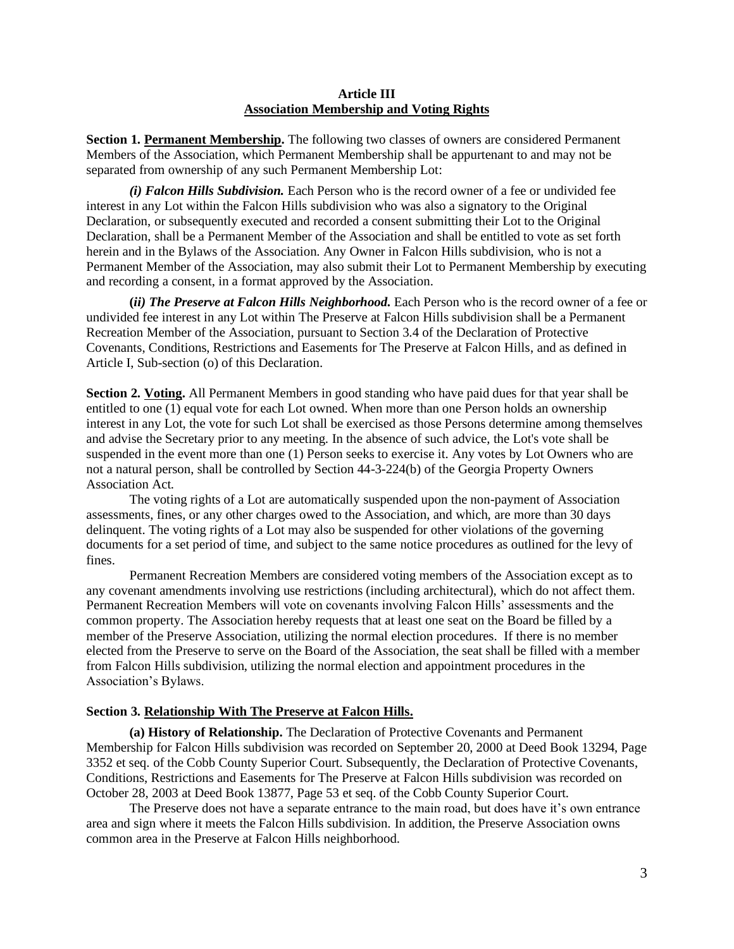## **Article III Association Membership and Voting Rights**

**Section 1. Permanent Membership.** The following two classes of owners are considered Permanent Members of the Association, which Permanent Membership shall be appurtenant to and may not be separated from ownership of any such Permanent Membership Lot:

*(i) Falcon Hills Subdivision.* Each Person who is the record owner of a fee or undivided fee interest in any Lot within the Falcon Hills subdivision who was also a signatory to the Original Declaration, or subsequently executed and recorded a consent submitting their Lot to the Original Declaration, shall be a Permanent Member of the Association and shall be entitled to vote as set forth herein and in the Bylaws of the Association. Any Owner in Falcon Hills subdivision, who is not a Permanent Member of the Association, may also submit their Lot to Permanent Membership by executing and recording a consent, in a format approved by the Association.

**(***ii) The Preserve at Falcon Hills Neighborhood.* Each Person who is the record owner of a fee or undivided fee interest in any Lot within The Preserve at Falcon Hills subdivision shall be a Permanent Recreation Member of the Association, pursuant to Section 3.4 of the Declaration of Protective Covenants, Conditions, Restrictions and Easements for The Preserve at Falcon Hills, and as defined in Article I, Sub-section (o) of this Declaration.

**Section 2. Voting.** All Permanent Members in good standing who have paid dues for that year shall be entitled to one (1) equal vote for each Lot owned. When more than one Person holds an ownership interest in any Lot, the vote for such Lot shall be exercised as those Persons determine among themselves and advise the Secretary prior to any meeting. In the absence of such advice, the Lot's vote shall be suspended in the event more than one (1) Person seeks to exercise it. Any votes by Lot Owners who are not a natural person, shall be controlled by Section 44-3-224(b) of the Georgia Property Owners Association Act.

The voting rights of a Lot are automatically suspended upon the non-payment of Association assessments, fines, or any other charges owed to the Association, and which, are more than 30 days delinquent. The voting rights of a Lot may also be suspended for other violations of the governing documents for a set period of time, and subject to the same notice procedures as outlined for the levy of fines.

Permanent Recreation Members are considered voting members of the Association except as to any covenant amendments involving use restrictions (including architectural), which do not affect them. Permanent Recreation Members will vote on covenants involving Falcon Hills' assessments and the common property. The Association hereby requests that at least one seat on the Board be filled by a member of the Preserve Association, utilizing the normal election procedures. If there is no member elected from the Preserve to serve on the Board of the Association, the seat shall be filled with a member from Falcon Hills subdivision, utilizing the normal election and appointment procedures in the Association's Bylaws.

#### **Section 3. Relationship With The Preserve at Falcon Hills.**

**(a) History of Relationship.** The Declaration of Protective Covenants and Permanent Membership for Falcon Hills subdivision was recorded on September 20, 2000 at Deed Book 13294, Page 3352 et seq. of the Cobb County Superior Court. Subsequently, the Declaration of Protective Covenants, Conditions, Restrictions and Easements for The Preserve at Falcon Hills subdivision was recorded on October 28, 2003 at Deed Book 13877, Page 53 et seq. of the Cobb County Superior Court.

The Preserve does not have a separate entrance to the main road, but does have it's own entrance area and sign where it meets the Falcon Hills subdivision. In addition, the Preserve Association owns common area in the Preserve at Falcon Hills neighborhood.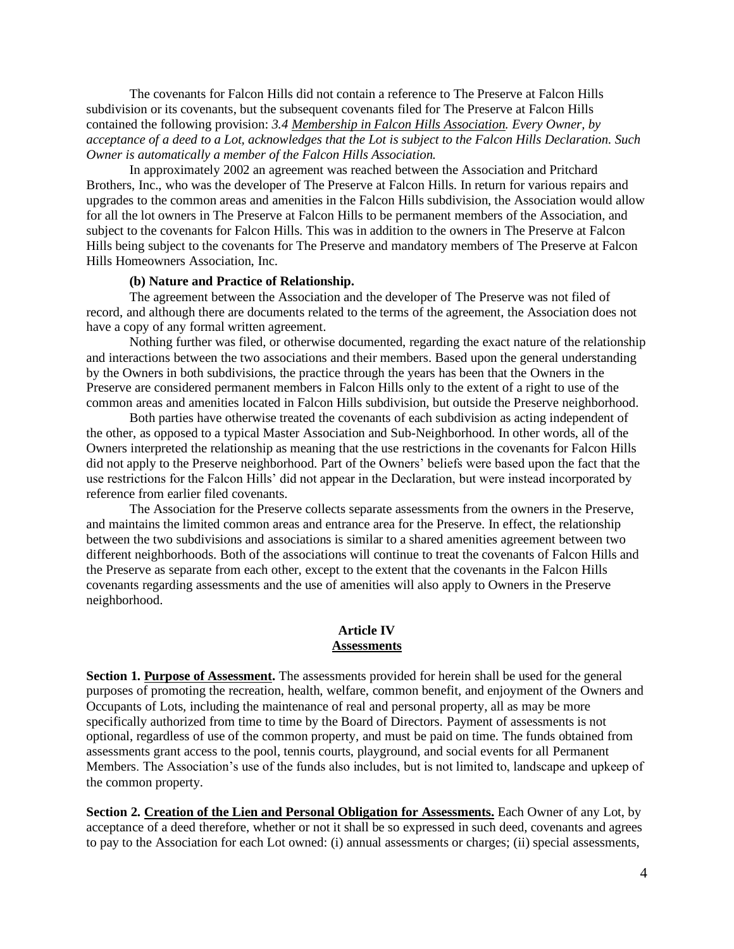The covenants for Falcon Hills did not contain a reference to The Preserve at Falcon Hills subdivision or its covenants, but the subsequent covenants filed for The Preserve at Falcon Hills contained the following provision: *3.4 Membership in Falcon Hills Association. Every Owner, by acceptance of a deed to a Lot, acknowledges that the Lot is subject to the Falcon Hills Declaration. Such Owner is automatically a member of the Falcon Hills Association.*

In approximately 2002 an agreement was reached between the Association and Pritchard Brothers, Inc., who was the developer of The Preserve at Falcon Hills. In return for various repairs and upgrades to the common areas and amenities in the Falcon Hills subdivision, the Association would allow for all the lot owners in The Preserve at Falcon Hills to be permanent members of the Association, and subject to the covenants for Falcon Hills. This was in addition to the owners in The Preserve at Falcon Hills being subject to the covenants for The Preserve and mandatory members of The Preserve at Falcon Hills Homeowners Association, Inc.

#### **(b) Nature and Practice of Relationship.**

The agreement between the Association and the developer of The Preserve was not filed of record, and although there are documents related to the terms of the agreement, the Association does not have a copy of any formal written agreement.

 Nothing further was filed, or otherwise documented, regarding the exact nature of the relationship and interactions between the two associations and their members. Based upon the general understanding by the Owners in both subdivisions, the practice through the years has been that the Owners in the Preserve are considered permanent members in Falcon Hills only to the extent of a right to use of the common areas and amenities located in Falcon Hills subdivision, but outside the Preserve neighborhood.

Both parties have otherwise treated the covenants of each subdivision as acting independent of the other, as opposed to a typical Master Association and Sub-Neighborhood. In other words, all of the Owners interpreted the relationship as meaning that the use restrictions in the covenants for Falcon Hills did not apply to the Preserve neighborhood. Part of the Owners' beliefs were based upon the fact that the use restrictions for the Falcon Hills' did not appear in the Declaration, but were instead incorporated by reference from earlier filed covenants.

The Association for the Preserve collects separate assessments from the owners in the Preserve, and maintains the limited common areas and entrance area for the Preserve. In effect, the relationship between the two subdivisions and associations is similar to a shared amenities agreement between two different neighborhoods. Both of the associations will continue to treat the covenants of Falcon Hills and the Preserve as separate from each other, except to the extent that the covenants in the Falcon Hills covenants regarding assessments and the use of amenities will also apply to Owners in the Preserve neighborhood.

#### **Article IV Assessments**

**Section 1. Purpose of Assessment.** The assessments provided for herein shall be used for the general purposes of promoting the recreation, health, welfare, common benefit, and enjoyment of the Owners and Occupants of Lots, including the maintenance of real and personal property, all as may be more specifically authorized from time to time by the Board of Directors. Payment of assessments is not optional, regardless of use of the common property, and must be paid on time. The funds obtained from assessments grant access to the pool, tennis courts, playground, and social events for all Permanent Members. The Association's use of the funds also includes, but is not limited to, landscape and upkeep of the common property.

**Section 2. Creation of the Lien and Personal Obligation for Assessments.** Each Owner of any Lot, by acceptance of a deed therefore, whether or not it shall be so expressed in such deed, covenants and agrees to pay to the Association for each Lot owned: (i) annual assessments or charges; (ii) special assessments,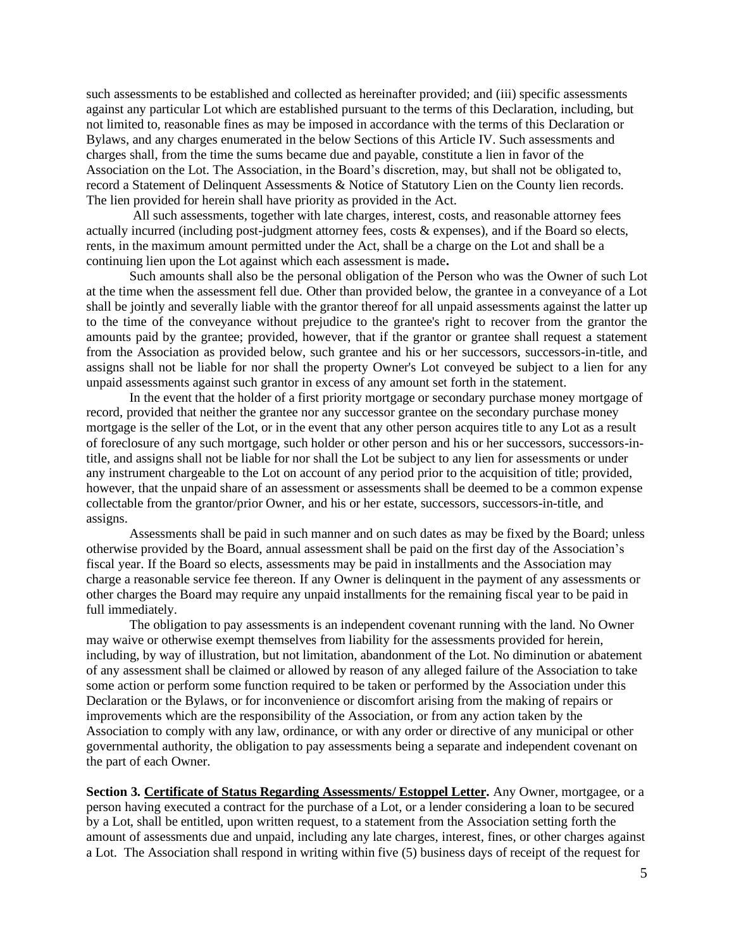such assessments to be established and collected as hereinafter provided; and (iii) specific assessments against any particular Lot which are established pursuant to the terms of this Declaration, including, but not limited to, reasonable fines as may be imposed in accordance with the terms of this Declaration or Bylaws, and any charges enumerated in the below Sections of this Article IV. Such assessments and charges shall, from the time the sums became due and payable, constitute a lien in favor of the Association on the Lot. The Association, in the Board's discretion, may, but shall not be obligated to, record a Statement of Delinquent Assessments & Notice of Statutory Lien on the County lien records. The lien provided for herein shall have priority as provided in the Act.

All such assessments, together with late charges, interest, costs, and reasonable attorney fees actually incurred (including post-judgment attorney fees*,* costs & expenses), and if the Board so elects, rents, in the maximum amount permitted under the Act, shall be a charge on the Lot and shall be a continuing lien upon the Lot against which each assessment is made**.**

Such amounts shall also be the personal obligation of the Person who was the Owner of such Lot at the time when the assessment fell due. Other than provided below, the grantee in a conveyance of a Lot shall be jointly and severally liable with the grantor thereof for all unpaid assessments against the latter up to the time of the conveyance without prejudice to the grantee's right to recover from the grantor the amounts paid by the grantee; provided, however, that if the grantor or grantee shall request a statement from the Association as provided below, such grantee and his or her successors, successors-in-title, and assigns shall not be liable for nor shall the property Owner's Lot conveyed be subject to a lien for any unpaid assessments against such grantor in excess of any amount set forth in the statement.

In the event that the holder of a first priority mortgage or secondary purchase money mortgage of record, provided that neither the grantee nor any successor grantee on the secondary purchase money mortgage is the seller of the Lot, or in the event that any other person acquires title to any Lot as a result of foreclosure of any such mortgage, such holder or other person and his or her successors, successors-intitle, and assigns shall not be liable for nor shall the Lot be subject to any lien for assessments or under any instrument chargeable to the Lot on account of any period prior to the acquisition of title; provided, however, that the unpaid share of an assessment or assessments shall be deemed to be a common expense collectable from the grantor/prior Owner, and his or her estate, successors, successors-in-title, and assigns.

Assessments shall be paid in such manner and on such dates as may be fixed by the Board; unless otherwise provided by the Board, annual assessment shall be paid on the first day of the Association's fiscal year. If the Board so elects, assessments may be paid in installments and the Association may charge a reasonable service fee thereon. If any Owner is delinquent in the payment of any assessments or other charges the Board may require any unpaid installments for the remaining fiscal year to be paid in full immediately.

The obligation to pay assessments is an independent covenant running with the land. No Owner may waive or otherwise exempt themselves from liability for the assessments provided for herein, including, by way of illustration, but not limitation, abandonment of the Lot. No diminution or abatement of any assessment shall be claimed or allowed by reason of any alleged failure of the Association to take some action or perform some function required to be taken or performed by the Association under this Declaration or the Bylaws, or for inconvenience or discomfort arising from the making of repairs or improvements which are the responsibility of the Association, or from any action taken by the Association to comply with any law, ordinance, or with any order or directive of any municipal or other governmental authority, the obligation to pay assessments being a separate and independent covenant on the part of each Owner.

**Section 3. Certificate of Status Regarding Assessments/ Estoppel Letter.** Any Owner, mortgagee, or a person having executed a contract for the purchase of a Lot, or a lender considering a loan to be secured by a Lot, shall be entitled, upon written request, to a statement from the Association setting forth the amount of assessments due and unpaid, including any late charges, interest, fines, or other charges against a Lot. The Association shall respond in writing within five (5) business days of receipt of the request for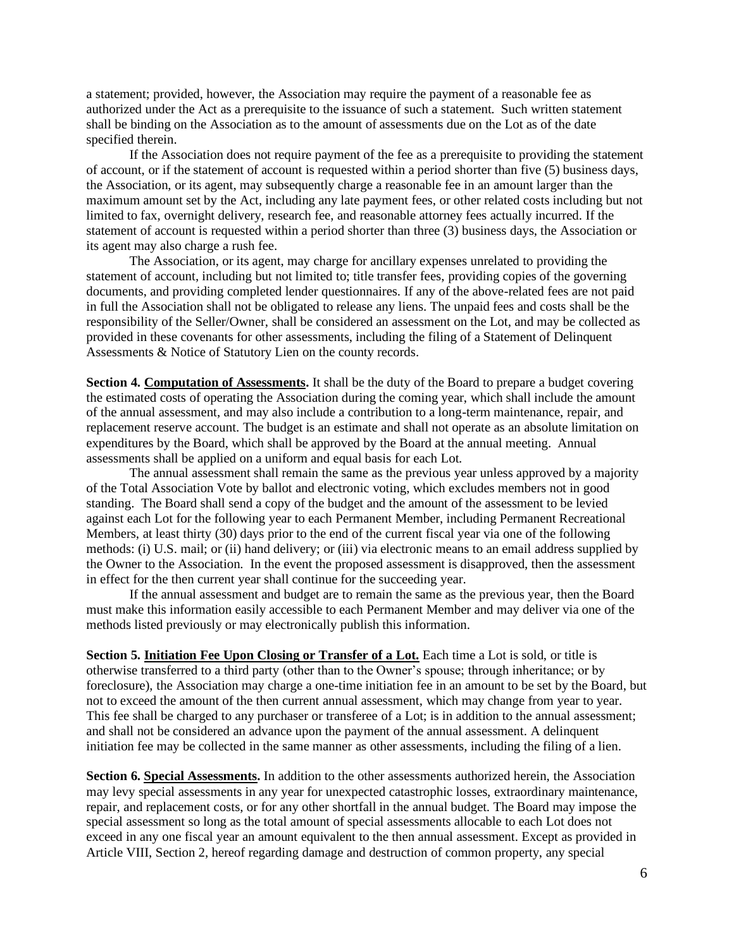a statement; provided, however, the Association may require the payment of a reasonable fee as authorized under the Act as a prerequisite to the issuance of such a statement. Such written statement shall be binding on the Association as to the amount of assessments due on the Lot as of the date specified therein.

If the Association does not require payment of the fee as a prerequisite to providing the statement of account, or if the statement of account is requested within a period shorter than five (5) business days, the Association, or its agent, may subsequently charge a reasonable fee in an amount larger than the maximum amount set by the Act, including any late payment fees, or other related costs including but not limited to fax, overnight delivery, research fee, and reasonable attorney fees actually incurred. If the statement of account is requested within a period shorter than three (3) business days, the Association or its agent may also charge a rush fee.

The Association, or its agent, may charge for ancillary expenses unrelated to providing the statement of account, including but not limited to; title transfer fees, providing copies of the governing documents, and providing completed lender questionnaires. If any of the above-related fees are not paid in full the Association shall not be obligated to release any liens. The unpaid fees and costs shall be the responsibility of the Seller/Owner, shall be considered an assessment on the Lot, and may be collected as provided in these covenants for other assessments, including the filing of a Statement of Delinquent Assessments & Notice of Statutory Lien on the county records.

**Section 4. Computation of Assessments.** It shall be the duty of the Board to prepare a budget covering the estimated costs of operating the Association during the coming year, which shall include the amount of the annual assessment, and may also include a contribution to a long-term maintenance, repair, and replacement reserve account. The budget is an estimate and shall not operate as an absolute limitation on expenditures by the Board, which shall be approved by the Board at the annual meeting. Annual assessments shall be applied on a uniform and equal basis for each Lot.

The annual assessment shall remain the same as the previous year unless approved by a majority of the Total Association Vote by ballot and electronic voting, which excludes members not in good standing. The Board shall send a copy of the budget and the amount of the assessment to be levied against each Lot for the following year to each Permanent Member, including Permanent Recreational Members, at least thirty (30) days prior to the end of the current fiscal year via one of the following methods: (i) U.S. mail; or (ii) hand delivery; or (iii) via electronic means to an email address supplied by the Owner to the Association. In the event the proposed assessment is disapproved, then the assessment in effect for the then current year shall continue for the succeeding year.

If the annual assessment and budget are to remain the same as the previous year, then the Board must make this information easily accessible to each Permanent Member and may deliver via one of the methods listed previously or may electronically publish this information.

**Section 5. Initiation Fee Upon Closing or Transfer of a Lot.** Each time a Lot is sold, or title is otherwise transferred to a third party (other than to the Owner's spouse; through inheritance; or by foreclosure), the Association may charge a one-time initiation fee in an amount to be set by the Board, but not to exceed the amount of the then current annual assessment, which may change from year to year. This fee shall be charged to any purchaser or transferee of a Lot; is in addition to the annual assessment; and shall not be considered an advance upon the payment of the annual assessment. A delinquent initiation fee may be collected in the same manner as other assessments, including the filing of a lien.

**Section 6. Special Assessments.** In addition to the other assessments authorized herein, the Association may levy special assessments in any year for unexpected catastrophic losses, extraordinary maintenance, repair, and replacement costs, or for any other shortfall in the annual budget. The Board may impose the special assessment so long as the total amount of special assessments allocable to each Lot does not exceed in any one fiscal year an amount equivalent to the then annual assessment. Except as provided in Article VIII, Section 2, hereof regarding damage and destruction of common property, any special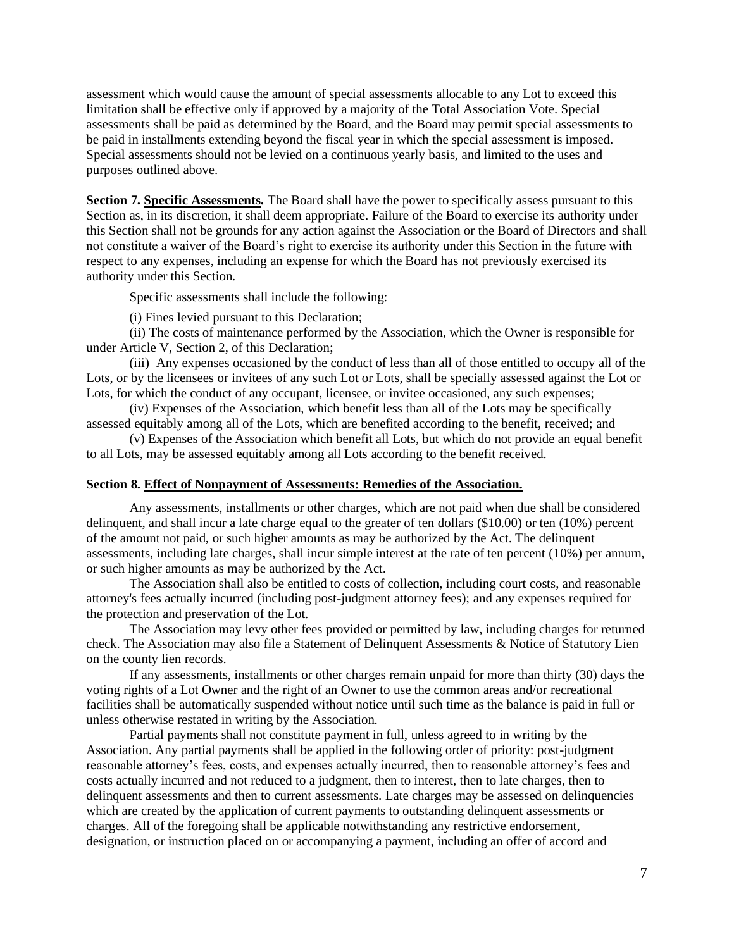assessment which would cause the amount of special assessments allocable to any Lot to exceed this limitation shall be effective only if approved by a majority of the Total Association Vote. Special assessments shall be paid as determined by the Board, and the Board may permit special assessments to be paid in installments extending beyond the fiscal year in which the special assessment is imposed. Special assessments should not be levied on a continuous yearly basis, and limited to the uses and purposes outlined above.

**Section 7. Specific Assessments.** The Board shall have the power to specifically assess pursuant to this Section as, in its discretion, it shall deem appropriate. Failure of the Board to exercise its authority under this Section shall not be grounds for any action against the Association or the Board of Directors and shall not constitute a waiver of the Board's right to exercise its authority under this Section in the future with respect to any expenses, including an expense for which the Board has not previously exercised its authority under this Section.

Specific assessments shall include the following:

(i) Fines levied pursuant to this Declaration;

(ii) The costs of maintenance performed by the Association, which the Owner is responsible for under Article V, Section 2, of this Declaration;

(iii) Any expenses occasioned by the conduct of less than all of those entitled to occupy all of the Lots, or by the licensees or invitees of any such Lot or Lots, shall be specially assessed against the Lot or Lots, for which the conduct of any occupant, licensee, or invitee occasioned, any such expenses;

(iv) Expenses of the Association, which benefit less than all of the Lots may be specifically assessed equitably among all of the Lots, which are benefited according to the benefit, received; and

(v) Expenses of the Association which benefit all Lots, but which do not provide an equal benefit to all Lots, may be assessed equitably among all Lots according to the benefit received.

#### **Section 8. Effect of Nonpayment of Assessments: Remedies of the Association.**

Any assessments, installments or other charges, which are not paid when due shall be considered delinquent, and shall incur a late charge equal to the greater of ten dollars (\$10.00) or ten (10%) percent of the amount not paid, or such higher amounts as may be authorized by the Act. The delinquent assessments, including late charges, shall incur simple interest at the rate of ten percent (10%) per annum, or such higher amounts as may be authorized by the Act.

The Association shall also be entitled to costs of collection, including court costs, and reasonable attorney's fees actually incurred (including post-judgment attorney fees); and any expenses required for the protection and preservation of the Lot.

The Association may levy other fees provided or permitted by law, including charges for returned check. The Association may also file a Statement of Delinquent Assessments & Notice of Statutory Lien on the county lien records.

If any assessments, installments or other charges remain unpaid for more than thirty (30) days the voting rights of a Lot Owner and the right of an Owner to use the common areas and/or recreational facilities shall be automatically suspended without notice until such time as the balance is paid in full or unless otherwise restated in writing by the Association.

Partial payments shall not constitute payment in full, unless agreed to in writing by the Association. Any partial payments shall be applied in the following order of priority: post-judgment reasonable attorney's fees, costs, and expenses actually incurred, then to reasonable attorney's fees and costs actually incurred and not reduced to a judgment, then to interest, then to late charges, then to delinquent assessments and then to current assessments. Late charges may be assessed on delinquencies which are created by the application of current payments to outstanding delinquent assessments or charges. All of the foregoing shall be applicable notwithstanding any restrictive endorsement, designation, or instruction placed on or accompanying a payment, including an offer of accord and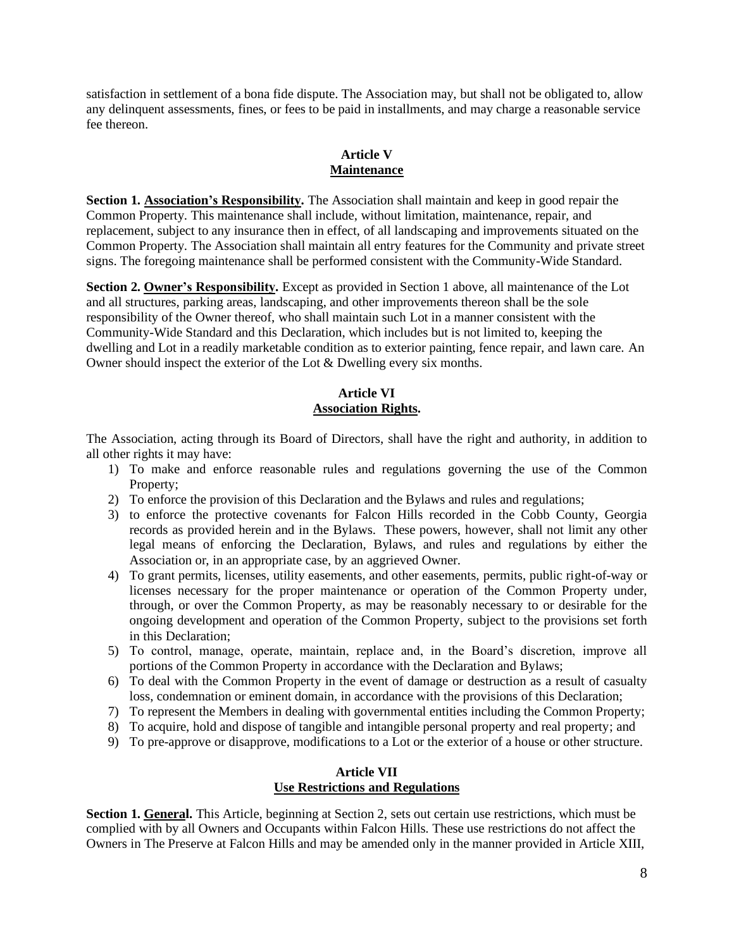satisfaction in settlement of a bona fide dispute. The Association may, but shall not be obligated to, allow any delinquent assessments, fines, or fees to be paid in installments, and may charge a reasonable service fee thereon.

## **Article V Maintenance**

**Section 1. Association's Responsibility.** The Association shall maintain and keep in good repair the Common Property. This maintenance shall include, without limitation, maintenance, repair, and replacement, subject to any insurance then in effect, of all landscaping and improvements situated on the Common Property. The Association shall maintain all entry features for the Community and private street signs. The foregoing maintenance shall be performed consistent with the Community-Wide Standard.

**Section 2. Owner's Responsibility.** Except as provided in Section 1 above, all maintenance of the Lot and all structures, parking areas, landscaping, and other improvements thereon shall be the sole responsibility of the Owner thereof, who shall maintain such Lot in a manner consistent with the Community-Wide Standard and this Declaration, which includes but is not limited to, keeping the dwelling and Lot in a readily marketable condition as to exterior painting, fence repair, and lawn care. An Owner should inspect the exterior of the Lot & Dwelling every six months.

# **Article VI Association Rights.**

The Association, acting through its Board of Directors, shall have the right and authority, in addition to all other rights it may have:

- 1) To make and enforce reasonable rules and regulations governing the use of the Common Property;
- 2) To enforce the provision of this Declaration and the Bylaws and rules and regulations;
- 3) to enforce the protective covenants for Falcon Hills recorded in the Cobb County, Georgia records as provided herein and in the Bylaws. These powers, however, shall not limit any other legal means of enforcing the Declaration, Bylaws, and rules and regulations by either the Association or, in an appropriate case, by an aggrieved Owner.
- 4) To grant permits, licenses, utility easements, and other easements, permits, public right-of-way or licenses necessary for the proper maintenance or operation of the Common Property under, through, or over the Common Property, as may be reasonably necessary to or desirable for the ongoing development and operation of the Common Property, subject to the provisions set forth in this Declaration;
- 5) To control, manage, operate, maintain, replace and, in the Board's discretion, improve all portions of the Common Property in accordance with the Declaration and Bylaws;
- 6) To deal with the Common Property in the event of damage or destruction as a result of casualty loss, condemnation or eminent domain, in accordance with the provisions of this Declaration;
- 7) To represent the Members in dealing with governmental entities including the Common Property;
- 8) To acquire, hold and dispose of tangible and intangible personal property and real property; and
- 9) To pre-approve or disapprove, modifications to a Lot or the exterior of a house or other structure.

# **Article VII Use Restrictions and Regulations**

**Section 1. General.** This Article, beginning at Section 2, sets out certain use restrictions, which must be complied with by all Owners and Occupants within Falcon Hills. These use restrictions do not affect the Owners in The Preserve at Falcon Hills and may be amended only in the manner provided in Article XIII,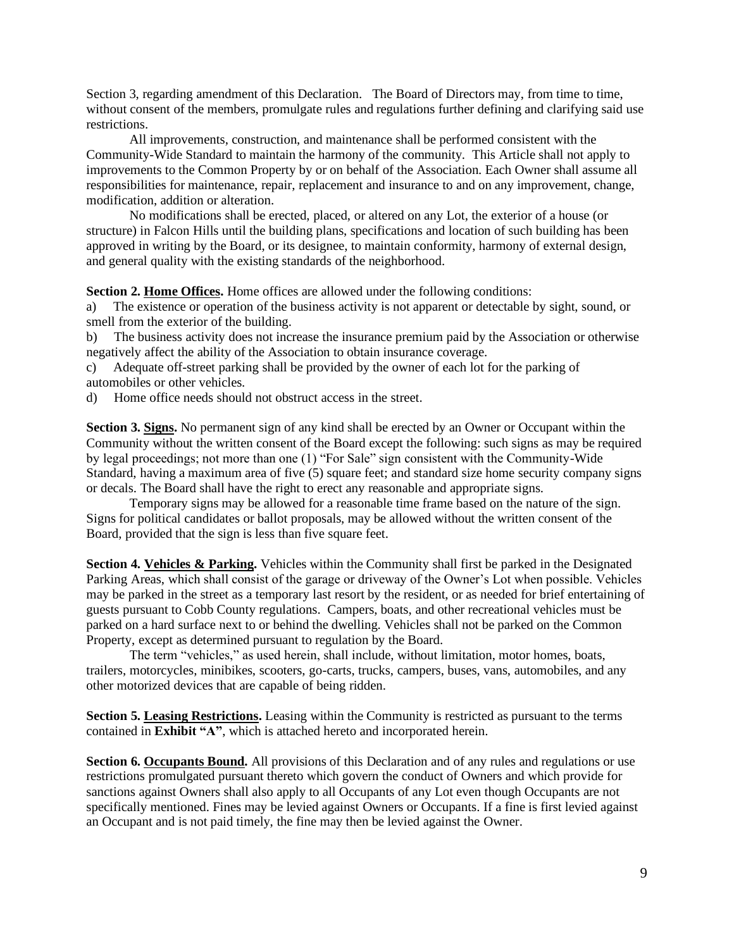Section 3, regarding amendment of this Declaration. The Board of Directors may, from time to time, without consent of the members, promulgate rules and regulations further defining and clarifying said use restrictions.

All improvements, construction, and maintenance shall be performed consistent with the Community-Wide Standard to maintain the harmony of the community. This Article shall not apply to improvements to the Common Property by or on behalf of the Association. Each Owner shall assume all responsibilities for maintenance, repair, replacement and insurance to and on any improvement, change, modification, addition or alteration.

No modifications shall be erected, placed, or altered on any Lot, the exterior of a house (or structure) in Falcon Hills until the building plans, specifications and location of such building has been approved in writing by the Board, or its designee, to maintain conformity, harmony of external design, and general quality with the existing standards of the neighborhood.

**Section 2. Home Offices.** Home offices are allowed under the following conditions:

a) The existence or operation of the business activity is not apparent or detectable by sight, sound, or smell from the exterior of the building.

b) The business activity does not increase the insurance premium paid by the Association or otherwise negatively affect the ability of the Association to obtain insurance coverage.

c) Adequate off-street parking shall be provided by the owner of each lot for the parking of automobiles or other vehicles.

d) Home office needs should not obstruct access in the street.

**Section 3. Signs.** No permanent sign of any kind shall be erected by an Owner or Occupant within the Community without the written consent of the Board except the following: such signs as may be required by legal proceedings; not more than one (1) "For Sale" sign consistent with the Community-Wide Standard, having a maximum area of five (5) square feet; and standard size home security company signs or decals. The Board shall have the right to erect any reasonable and appropriate signs.

Temporary signs may be allowed for a reasonable time frame based on the nature of the sign. Signs for political candidates or ballot proposals, may be allowed without the written consent of the Board, provided that the sign is less than five square feet.

**Section 4. Vehicles & Parking.** Vehicles within the Community shall first be parked in the Designated Parking Areas, which shall consist of the garage or driveway of the Owner's Lot when possible. Vehicles may be parked in the street as a temporary last resort by the resident, or as needed for brief entertaining of guests pursuant to Cobb County regulations. Campers, boats, and other recreational vehicles must be parked on a hard surface next to or behind the dwelling. Vehicles shall not be parked on the Common Property, except as determined pursuant to regulation by the Board.

The term "vehicles," as used herein, shall include, without limitation, motor homes, boats, trailers, motorcycles, minibikes, scooters, go-carts, trucks, campers, buses, vans, automobiles, and any other motorized devices that are capable of being ridden.

**Section 5. Leasing Restrictions.** Leasing within the Community is restricted as pursuant to the terms contained in **Exhibit "A"**, which is attached hereto and incorporated herein.

**Section 6. Occupants Bound.** All provisions of this Declaration and of any rules and regulations or use restrictions promulgated pursuant thereto which govern the conduct of Owners and which provide for sanctions against Owners shall also apply to all Occupants of any Lot even though Occupants are not specifically mentioned. Fines may be levied against Owners or Occupants. If a fine is first levied against an Occupant and is not paid timely, the fine may then be levied against the Owner.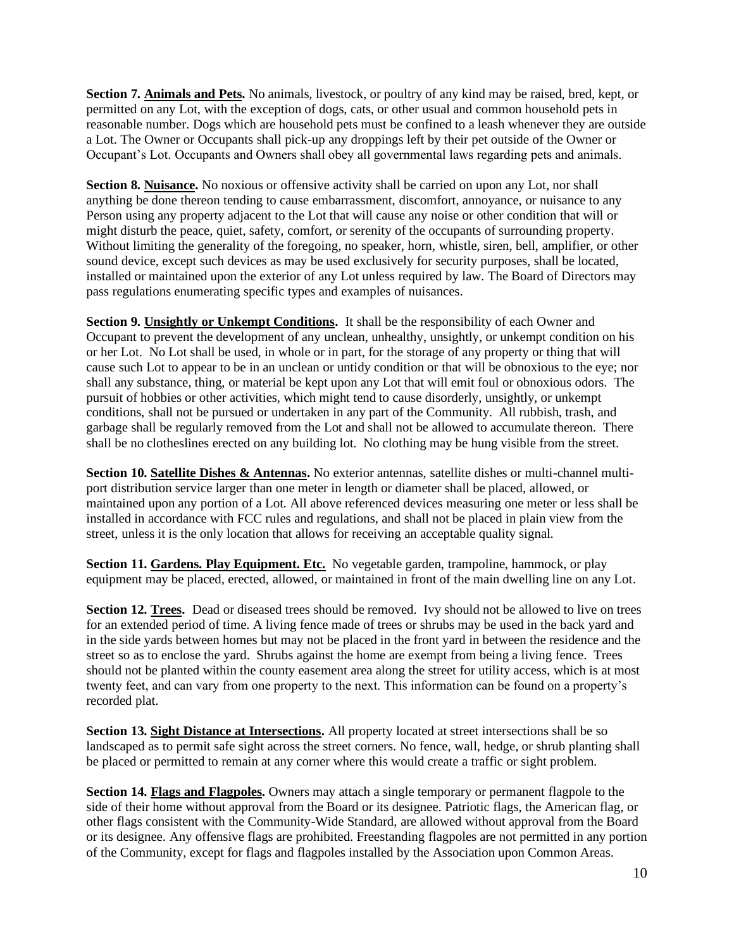**Section 7. Animals and Pets.** No animals, livestock, or poultry of any kind may be raised, bred, kept, or permitted on any Lot, with the exception of dogs, cats, or other usual and common household pets in reasonable number. Dogs which are household pets must be confined to a leash whenever they are outside a Lot. The Owner or Occupants shall pick-up any droppings left by their pet outside of the Owner or Occupant's Lot. Occupants and Owners shall obey all governmental laws regarding pets and animals.

**Section 8. Nuisance.** No noxious or offensive activity shall be carried on upon any Lot, nor shall anything be done thereon tending to cause embarrassment, discomfort, annoyance, or nuisance to any Person using any property adjacent to the Lot that will cause any noise or other condition that will or might disturb the peace, quiet, safety, comfort, or serenity of the occupants of surrounding property. Without limiting the generality of the foregoing, no speaker, horn, whistle, siren, bell, amplifier, or other sound device, except such devices as may be used exclusively for security purposes, shall be located, installed or maintained upon the exterior of any Lot unless required by law. The Board of Directors may pass regulations enumerating specific types and examples of nuisances.

**Section 9. Unsightly or Unkempt Conditions.** It shall be the responsibility of each Owner and Occupant to prevent the development of any unclean, unhealthy, unsightly, or unkempt condition on his or her Lot. No Lot shall be used, in whole or in part, for the storage of any property or thing that will cause such Lot to appear to be in an unclean or untidy condition or that will be obnoxious to the eye; nor shall any substance, thing, or material be kept upon any Lot that will emit foul or obnoxious odors. The pursuit of hobbies or other activities, which might tend to cause disorderly, unsightly, or unkempt conditions, shall not be pursued or undertaken in any part of the Community. All rubbish, trash, and garbage shall be regularly removed from the Lot and shall not be allowed to accumulate thereon. There shall be no clotheslines erected on any building lot. No clothing may be hung visible from the street.

**Section 10. Satellite Dishes & Antennas.** No exterior antennas, satellite dishes or multi-channel multiport distribution service larger than one meter in length or diameter shall be placed, allowed, or maintained upon any portion of a Lot. All above referenced devices measuring one meter or less shall be installed in accordance with FCC rules and regulations, and shall not be placed in plain view from the street, unless it is the only location that allows for receiving an acceptable quality signal.

**Section 11. Gardens. Play Equipment. Etc.** No vegetable garden, trampoline, hammock, or play equipment may be placed, erected, allowed, or maintained in front of the main dwelling line on any Lot.

**Section 12. Trees.** Dead or diseased trees should be removed. Ivy should not be allowed to live on trees for an extended period of time. A living fence made of trees or shrubs may be used in the back yard and in the side yards between homes but may not be placed in the front yard in between the residence and the street so as to enclose the yard. Shrubs against the home are exempt from being a living fence. Trees should not be planted within the county easement area along the street for utility access, which is at most twenty feet, and can vary from one property to the next. This information can be found on a property's recorded plat.

**Section 13. Sight Distance at Intersections.** All property located at street intersections shall be so landscaped as to permit safe sight across the street corners. No fence, wall, hedge, or shrub planting shall be placed or permitted to remain at any corner where this would create a traffic or sight problem.

**Section 14. Flags and Flagpoles.** Owners may attach a single temporary or permanent flagpole to the side of their home without approval from the Board or its designee. Patriotic flags, the American flag, or other flags consistent with the Community-Wide Standard, are allowed without approval from the Board or its designee. Any offensive flags are prohibited. Freestanding flagpoles are not permitted in any portion of the Community, except for flags and flagpoles installed by the Association upon Common Areas.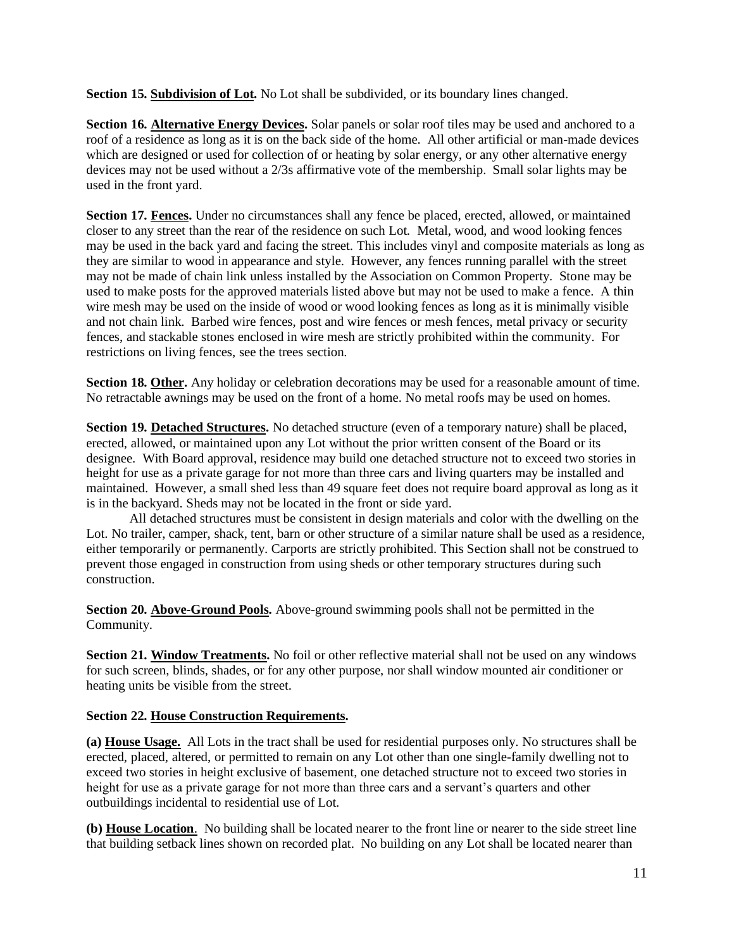**Section 15. Subdivision of Lot.** No Lot shall be subdivided, or its boundary lines changed.

**Section 16. Alternative Energy Devices.** Solar panels or solar roof tiles may be used and anchored to a roof of a residence as long as it is on the back side of the home. All other artificial or man-made devices which are designed or used for collection of or heating by solar energy, or any other alternative energy devices may not be used without a 2/3s affirmative vote of the membership. Small solar lights may be used in the front yard.

**Section 17. Fences.** Under no circumstances shall any fence be placed, erected, allowed, or maintained closer to any street than the rear of the residence on such Lot. Metal, wood, and wood looking fences may be used in the back yard and facing the street. This includes vinyl and composite materials as long as they are similar to wood in appearance and style. However, any fences running parallel with the street may not be made of chain link unless installed by the Association on Common Property. Stone may be used to make posts for the approved materials listed above but may not be used to make a fence. A thin wire mesh may be used on the inside of wood or wood looking fences as long as it is minimally visible and not chain link. Barbed wire fences, post and wire fences or mesh fences, metal privacy or security fences, and stackable stones enclosed in wire mesh are strictly prohibited within the community. For restrictions on living fences, see the trees section.

**Section 18. Other.** Any holiday or celebration decorations may be used for a reasonable amount of time. No retractable awnings may be used on the front of a home. No metal roofs may be used on homes.

**Section 19. Detached Structures.** No detached structure (even of a temporary nature) shall be placed, erected, allowed, or maintained upon any Lot without the prior written consent of the Board or its designee. With Board approval, residence may build one detached structure not to exceed two stories in height for use as a private garage for not more than three cars and living quarters may be installed and maintained. However, a small shed less than 49 square feet does not require board approval as long as it is in the backyard. Sheds may not be located in the front or side yard.

All detached structures must be consistent in design materials and color with the dwelling on the Lot. No trailer, camper, shack, tent, barn or other structure of a similar nature shall be used as a residence, either temporarily or permanently. Carports are strictly prohibited. This Section shall not be construed to prevent those engaged in construction from using sheds or other temporary structures during such construction.

**Section 20. Above-Ground Pools.** Above-ground swimming pools shall not be permitted in the Community.

**Section 21. Window Treatments.** No foil or other reflective material shall not be used on any windows for such screen, blinds, shades, or for any other purpose, nor shall window mounted air conditioner or heating units be visible from the street.

# **Section 22. House Construction Requirements.**

**(a) House Usage.** All Lots in the tract shall be used for residential purposes only. No structures shall be erected, placed, altered, or permitted to remain on any Lot other than one single-family dwelling not to exceed two stories in height exclusive of basement, one detached structure not to exceed two stories in height for use as a private garage for not more than three cars and a servant's quarters and other outbuildings incidental to residential use of Lot.

**(b) House Location**. No building shall be located nearer to the front line or nearer to the side street line that building setback lines shown on recorded plat. No building on any Lot shall be located nearer than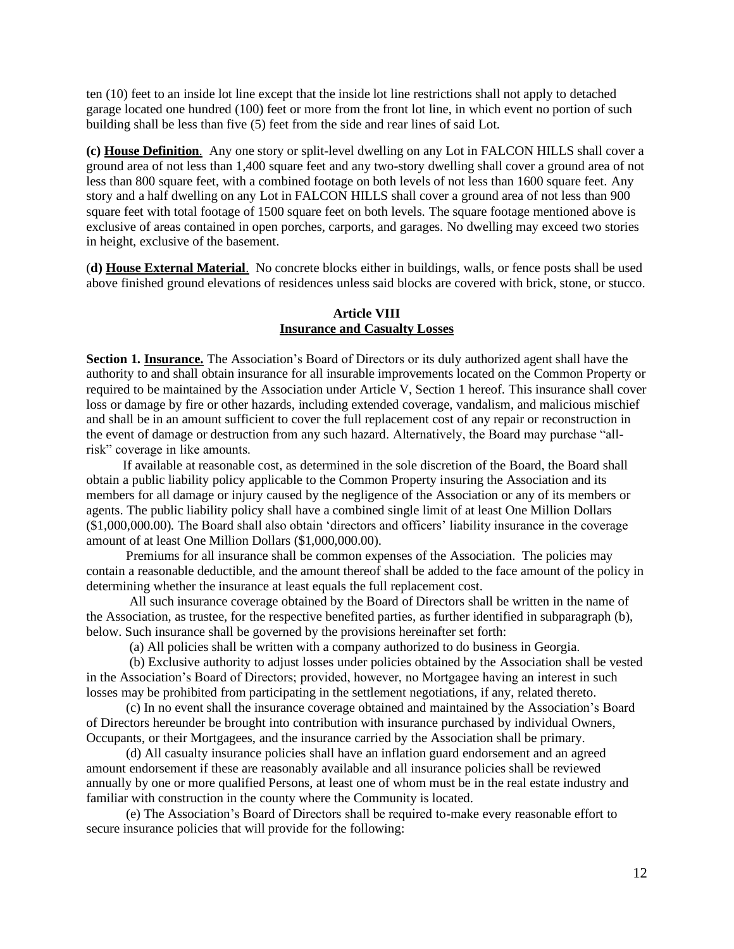ten (10) feet to an inside lot line except that the inside lot line restrictions shall not apply to detached garage located one hundred (100) feet or more from the front lot line, in which event no portion of such building shall be less than five (5) feet from the side and rear lines of said Lot.

**(c) House Definition**. Any one story or split-level dwelling on any Lot in FALCON HILLS shall cover a ground area of not less than 1,400 square feet and any two-story dwelling shall cover a ground area of not less than 800 square feet, with a combined footage on both levels of not less than 1600 square feet. Any story and a half dwelling on any Lot in FALCON HILLS shall cover a ground area of not less than 900 square feet with total footage of 1500 square feet on both levels. The square footage mentioned above is exclusive of areas contained in open porches, carports, and garages. No dwelling may exceed two stories in height, exclusive of the basement.

(**d) House External Material**. No concrete blocks either in buildings, walls, or fence posts shall be used above finished ground elevations of residences unless said blocks are covered with brick, stone, or stucco.

## **Article VIII Insurance and Casualty Losses**

**Section 1. Insurance.** The Association's Board of Directors or its duly authorized agent shall have the authority to and shall obtain insurance for all insurable improvements located on the Common Property or required to be maintained by the Association under Article V, Section 1 hereof. This insurance shall cover loss or damage by fire or other hazards, including extended coverage, vandalism, and malicious mischief and shall be in an amount sufficient to cover the full replacement cost of any repair or reconstruction in the event of damage or destruction from any such hazard. Alternatively, the Board may purchase "allrisk" coverage in like amounts.

If available at reasonable cost, as determined in the sole discretion of the Board, the Board shall obtain a public liability policy applicable to the Common Property insuring the Association and its members for all damage or injury caused by the negligence of the Association or any of its members or agents. The public liability policy shall have a combined single limit of at least One Million Dollars (\$1,000,000.00). The Board shall also obtain 'directors and officers' liability insurance in the coverage amount of at least One Million Dollars (\$1,000,000.00).

Premiums for all insurance shall be common expenses of the Association. The policies may contain a reasonable deductible, and the amount thereof shall be added to the face amount of the policy in determining whether the insurance at least equals the full replacement cost.

All such insurance coverage obtained by the Board of Directors shall be written in the name of the Association, as trustee, for the respective benefited parties, as further identified in subparagraph (b), below. Such insurance shall be governed by the provisions hereinafter set forth:

(a) All policies shall be written with a company authorized to do business in Georgia.

 (b) Exclusive authority to adjust losses under policies obtained by the Association shall be vested in the Association's Board of Directors; provided, however, no Mortgagee having an interest in such losses may be prohibited from participating in the settlement negotiations, if any, related thereto.

 (c) In no event shall the insurance coverage obtained and maintained by the Association's Board of Directors hereunder be brought into contribution with insurance purchased by individual Owners, Occupants, or their Mortgagees, and the insurance carried by the Association shall be primary.

 (d) All casualty insurance policies shall have an inflation guard endorsement and an agreed amount endorsement if these are reasonably available and all insurance policies shall be reviewed annually by one or more qualified Persons, at least one of whom must be in the real estate industry and familiar with construction in the county where the Community is located.

(e) The Association's Board of Directors shall be required to-make every reasonable effort to secure insurance policies that will provide for the following: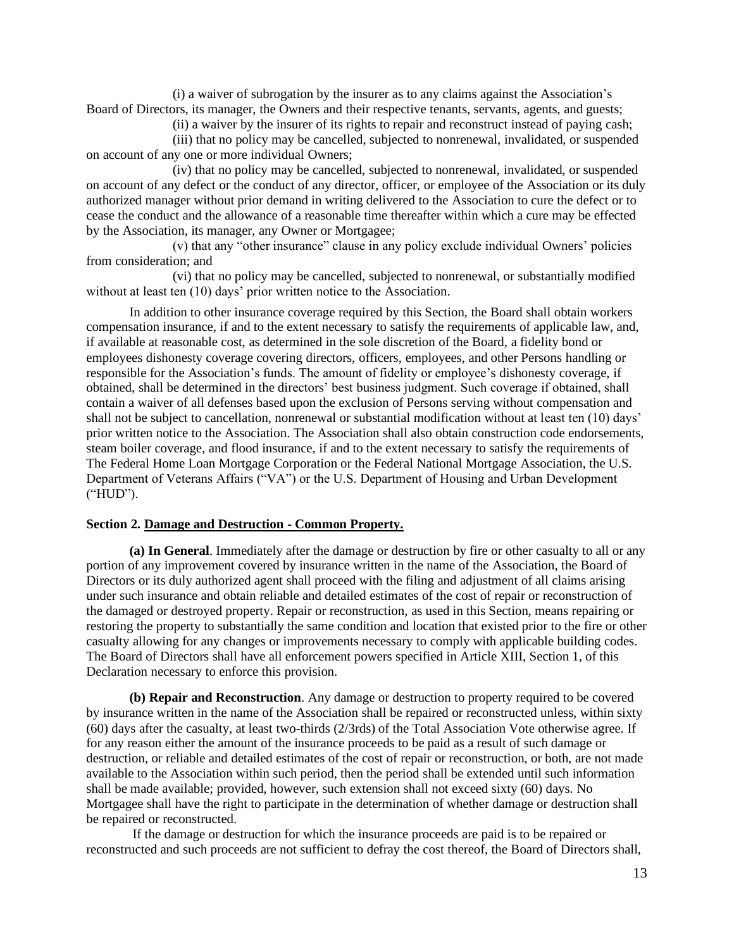(i) a waiver of subrogation by the insurer as to any claims against the Association's Board of Directors, its manager, the Owners and their respective tenants, servants, agents, and guests;

(ii) a waiver by the insurer of its rights to repair and reconstruct instead of paying cash;

 (iii) that no policy may be cancelled, subjected to nonrenewal, invalidated, or suspended on account of any one or more individual Owners;

 (iv) that no policy may be cancelled, subjected to nonrenewal, invalidated, or suspended on account of any defect or the conduct of any director, officer, or employee of the Association or its duly authorized manager without prior demand in writing delivered to the Association to cure the defect or to cease the conduct and the allowance of a reasonable time thereafter within which a cure may be effected by the Association, its manager, any Owner or Mortgagee;

(v) that any "other insurance" clause in any policy exclude individual Owners' policies from consideration; and

 (vi) that no policy may be cancelled, subjected to nonrenewal, or substantially modified without at least ten (10) days' prior written notice to the Association.

In addition to other insurance coverage required by this Section, the Board shall obtain workers compensation insurance, if and to the extent necessary to satisfy the requirements of applicable law, and, if available at reasonable cost, as determined in the sole discretion of the Board, a fidelity bond or employees dishonesty coverage covering directors, officers, employees, and other Persons handling or responsible for the Association's funds. The amount of fidelity or employee's dishonesty coverage, if obtained, shall be determined in the directors' best business judgment. Such coverage if obtained, shall contain a waiver of all defenses based upon the exclusion of Persons serving without compensation and shall not be subject to cancellation, nonrenewal or substantial modification without at least ten (10) days' prior written notice to the Association. The Association shall also obtain construction code endorsements, steam boiler coverage, and flood insurance, if and to the extent necessary to satisfy the requirements of The Federal Home Loan Mortgage Corporation or the Federal National Mortgage Association, the U.S. Department of Veterans Affairs ("VA") or the U.S. Department of Housing and Urban Development ("HUD").

#### **Section 2. Damage and Destruction - Common Property.**

**(a) In General**. Immediately after the damage or destruction by fire or other casualty to all or any portion of any improvement covered by insurance written in the name of the Association, the Board of Directors or its duly authorized agent shall proceed with the filing and adjustment of all claims arising under such insurance and obtain reliable and detailed estimates of the cost of repair or reconstruction of the damaged or destroyed property. Repair or reconstruction, as used in this Section, means repairing or restoring the property to substantially the same condition and location that existed prior to the fire or other casualty allowing for any changes or improvements necessary to comply with applicable building codes. The Board of Directors shall have all enforcement powers specified in Article XIII, Section 1, of this Declaration necessary to enforce this provision.

**(b) Repair and Reconstruction**. Any damage or destruction to property required to be covered by insurance written in the name of the Association shall be repaired or reconstructed unless, within sixty (60) days after the casualty, at least two-thirds (2/3rds) of the Total Association Vote otherwise agree. If for any reason either the amount of the insurance proceeds to be paid as a result of such damage or destruction, or reliable and detailed estimates of the cost of repair or reconstruction, or both, are not made available to the Association within such period, then the period shall be extended until such information shall be made available; provided, however, such extension shall not exceed sixty (60) days. No Mortgagee shall have the right to participate in the determination of whether damage or destruction shall be repaired or reconstructed.

 If the damage or destruction for which the insurance proceeds are paid is to be repaired or reconstructed and such proceeds are not sufficient to defray the cost thereof, the Board of Directors shall,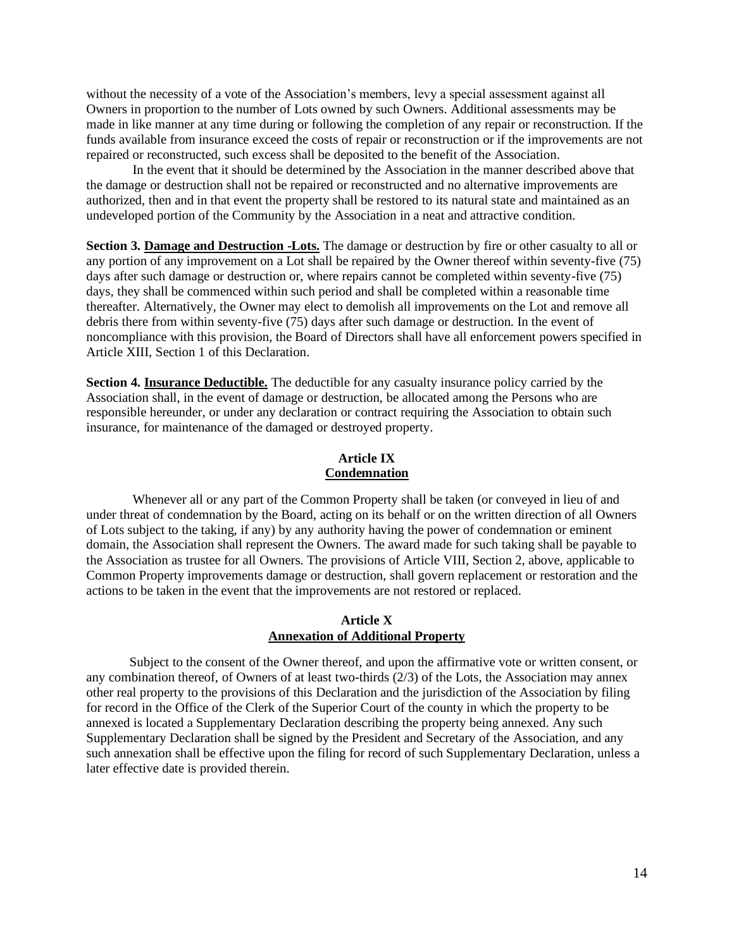without the necessity of a vote of the Association's members, levy a special assessment against all Owners in proportion to the number of Lots owned by such Owners. Additional assessments may be made in like manner at any time during or following the completion of any repair or reconstruction. If the funds available from insurance exceed the costs of repair or reconstruction or if the improvements are not repaired or reconstructed, such excess shall be deposited to the benefit of the Association.

 In the event that it should be determined by the Association in the manner described above that the damage or destruction shall not be repaired or reconstructed and no alternative improvements are authorized, then and in that event the property shall be restored to its natural state and maintained as an undeveloped portion of the Community by the Association in a neat and attractive condition.

**Section 3. Damage and Destruction -Lots.** The damage or destruction by fire or other casualty to all or any portion of any improvement on a Lot shall be repaired by the Owner thereof within seventy-five (75) days after such damage or destruction or, where repairs cannot be completed within seventy-five (75) days, they shall be commenced within such period and shall be completed within a reasonable time thereafter. Alternatively, the Owner may elect to demolish all improvements on the Lot and remove all debris there from within seventy-five (75) days after such damage or destruction. In the event of noncompliance with this provision, the Board of Directors shall have all enforcement powers specified in Article XIII, Section 1 of this Declaration.

**Section 4. Insurance Deductible.** The deductible for any casualty insurance policy carried by the Association shall, in the event of damage or destruction, be allocated among the Persons who are responsible hereunder, or under any declaration or contract requiring the Association to obtain such insurance, for maintenance of the damaged or destroyed property.

## **Article IX Condemnation**

Whenever all or any part of the Common Property shall be taken (or conveyed in lieu of and under threat of condemnation by the Board, acting on its behalf or on the written direction of all Owners of Lots subject to the taking, if any) by any authority having the power of condemnation or eminent domain, the Association shall represent the Owners. The award made for such taking shall be payable to the Association as trustee for all Owners. The provisions of Article VIII, Section 2, above, applicable to Common Property improvements damage or destruction, shall govern replacement or restoration and the actions to be taken in the event that the improvements are not restored or replaced.

## **Article X Annexation of Additional Property**

Subject to the consent of the Owner thereof, and upon the affirmative vote or written consent, or any combination thereof, of Owners of at least two-thirds (2/3) of the Lots, the Association may annex other real property to the provisions of this Declaration and the jurisdiction of the Association by filing for record in the Office of the Clerk of the Superior Court of the county in which the property to be annexed is located a Supplementary Declaration describing the property being annexed. Any such Supplementary Declaration shall be signed by the President and Secretary of the Association, and any such annexation shall be effective upon the filing for record of such Supplementary Declaration, unless a later effective date is provided therein.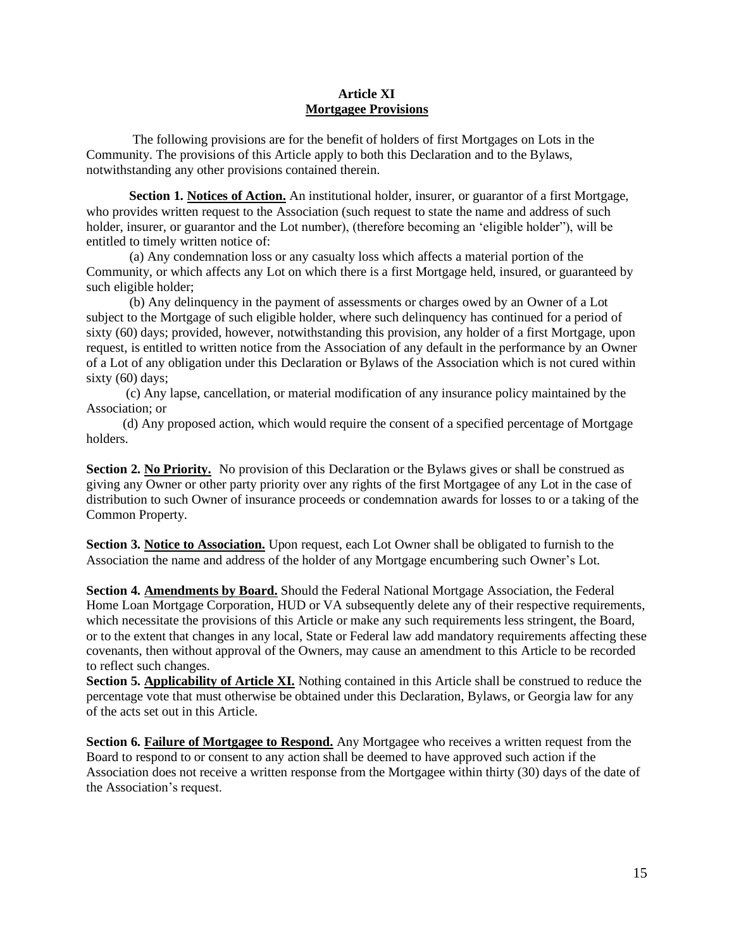## **Article XI Mortgagee Provisions**

The following provisions are for the benefit of holders of first Mortgages on Lots in the Community. The provisions of this Article apply to both this Declaration and to the Bylaws, notwithstanding any other provisions contained therein.

 **Section 1. Notices of Action.** An institutional holder, insurer, or guarantor of a first Mortgage, who provides written request to the Association (such request to state the name and address of such holder, insurer, or guarantor and the Lot number), (therefore becoming an 'eligible holder"), will be entitled to timely written notice of:

(a) Any condemnation loss or any casualty loss which affects a material portion of the Community, or which affects any Lot on which there is a first Mortgage held, insured, or guaranteed by such eligible holder;

 (b) Any delinquency in the payment of assessments or charges owed by an Owner of a Lot subject to the Mortgage of such eligible holder, where such delinquency has continued for a period of sixty (60) days; provided, however, notwithstanding this provision, any holder of a first Mortgage, upon request, is entitled to written notice from the Association of any default in the performance by an Owner of a Lot of any obligation under this Declaration or Bylaws of the Association which is not cured within sixty (60) days;

 (c) Any lapse, cancellation, or material modification of any insurance policy maintained by the Association; or

 (d) Any proposed action, which would require the consent of a specified percentage of Mortgage holders.

**Section 2. No Priority.** No provision of this Declaration or the Bylaws gives or shall be construed as giving any Owner or other party priority over any rights of the first Mortgagee of any Lot in the case of distribution to such Owner of insurance proceeds or condemnation awards for losses to or a taking of the Common Property.

**Section 3. Notice to Association.** Upon request, each Lot Owner shall be obligated to furnish to the Association the name and address of the holder of any Mortgage encumbering such Owner's Lot.

**Section 4. Amendments by Board.** Should the Federal National Mortgage Association, the Federal Home Loan Mortgage Corporation, HUD or VA subsequently delete any of their respective requirements, which necessitate the provisions of this Article or make any such requirements less stringent, the Board, or to the extent that changes in any local, State or Federal law add mandatory requirements affecting these covenants, then without approval of the Owners, may cause an amendment to this Article to be recorded to reflect such changes.

**Section 5. Applicability of Article XI.** Nothing contained in this Article shall be construed to reduce the percentage vote that must otherwise be obtained under this Declaration, Bylaws, or Georgia law for any of the acts set out in this Article.

**Section 6. Failure of Mortgagee to Respond.** Any Mortgagee who receives a written request from the Board to respond to or consent to any action shall be deemed to have approved such action if the Association does not receive a written response from the Mortgagee within thirty (30) days of the date of the Association's request.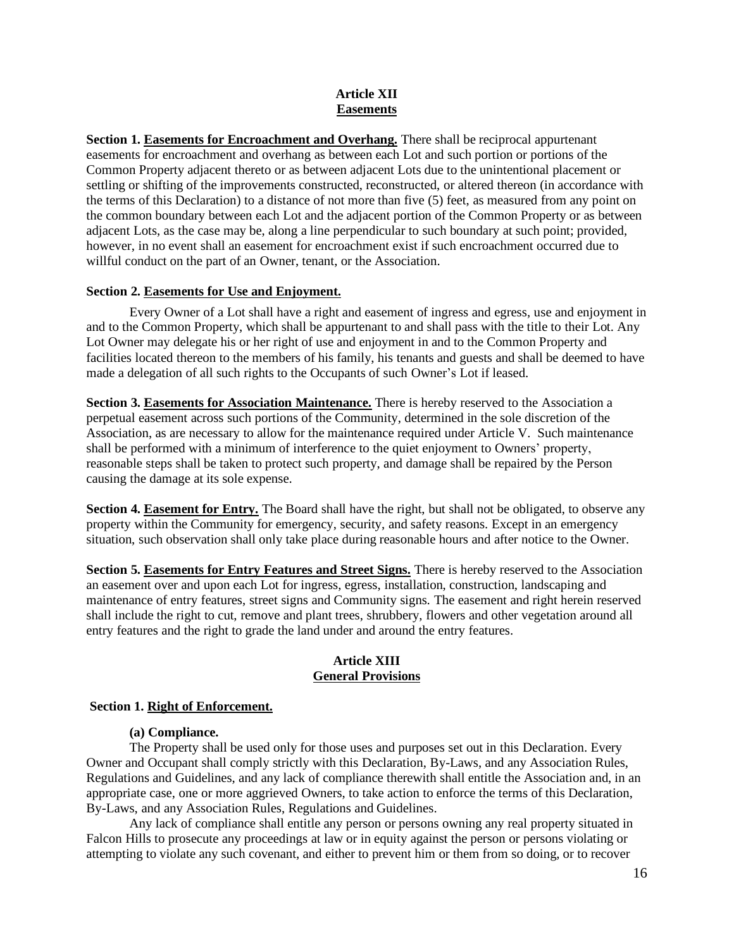## **Article XII Easements**

**Section 1. Easements for Encroachment and Overhang.** There shall be reciprocal appurtenant easements for encroachment and overhang as between each Lot and such portion or portions of the Common Property adjacent thereto or as between adjacent Lots due to the unintentional placement or settling or shifting of the improvements constructed, reconstructed, or altered thereon (in accordance with the terms of this Declaration) to a distance of not more than five (5) feet, as measured from any point on the common boundary between each Lot and the adjacent portion of the Common Property or as between adjacent Lots, as the case may be, along a line perpendicular to such boundary at such point; provided, however, in no event shall an easement for encroachment exist if such encroachment occurred due to willful conduct on the part of an Owner, tenant, or the Association.

## **Section 2. Easements for Use and Enjoyment.**

Every Owner of a Lot shall have a right and easement of ingress and egress, use and enjoyment in and to the Common Property, which shall be appurtenant to and shall pass with the title to their Lot. Any Lot Owner may delegate his or her right of use and enjoyment in and to the Common Property and facilities located thereon to the members of his family, his tenants and guests and shall be deemed to have made a delegation of all such rights to the Occupants of such Owner's Lot if leased.

**Section 3. Easements for Association Maintenance.** There is hereby reserved to the Association a perpetual easement across such portions of the Community, determined in the sole discretion of the Association, as are necessary to allow for the maintenance required under Article V. Such maintenance shall be performed with a minimum of interference to the quiet enjoyment to Owners' property, reasonable steps shall be taken to protect such property, and damage shall be repaired by the Person causing the damage at its sole expense.

**Section 4. Easement for Entry.** The Board shall have the right, but shall not be obligated, to observe any property within the Community for emergency, security, and safety reasons. Except in an emergency situation, such observation shall only take place during reasonable hours and after notice to the Owner.

**Section 5. Easements for Entry Features and Street Signs.** There is hereby reserved to the Association an easement over and upon each Lot for ingress, egress, installation, construction, landscaping and maintenance of entry features, street signs and Community signs. The easement and right herein reserved shall include the right to cut, remove and plant trees, shrubbery, flowers and other vegetation around all entry features and the right to grade the land under and around the entry features.

## **Article XIII General Provisions**

#### **Section 1. Right of Enforcement.**

#### **(a) Compliance.**

The Property shall be used only for those uses and purposes set out in this Declaration. Every Owner and Occupant shall comply strictly with this Declaration, By-Laws, and any Association Rules, Regulations and Guidelines, and any lack of compliance therewith shall entitle the Association and, in an appropriate case, one or more aggrieved Owners, to take action to enforce the terms of this Declaration, By-Laws, and any Association Rules, Regulations and Guidelines.

Any lack of compliance shall entitle any person or persons owning any real property situated in Falcon Hills to prosecute any proceedings at law or in equity against the person or persons violating or attempting to violate any such covenant, and either to prevent him or them from so doing, or to recover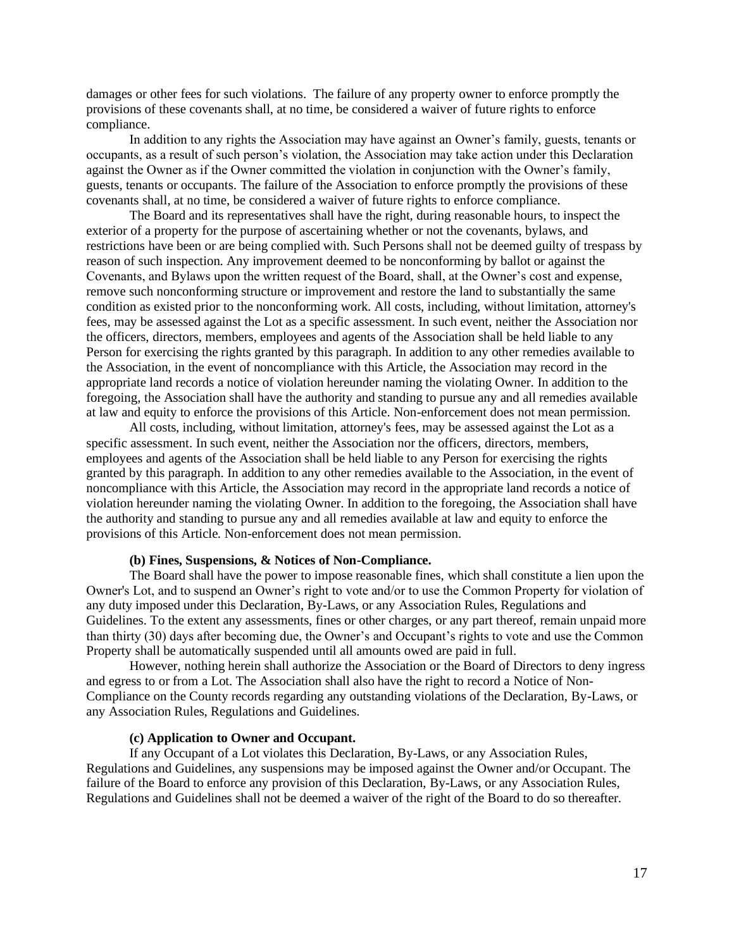damages or other fees for such violations. The failure of any property owner to enforce promptly the provisions of these covenants shall, at no time, be considered a waiver of future rights to enforce compliance.

In addition to any rights the Association may have against an Owner's family, guests, tenants or occupants, as a result of such person's violation, the Association may take action under this Declaration against the Owner as if the Owner committed the violation in conjunction with the Owner's family, guests, tenants or occupants. The failure of the Association to enforce promptly the provisions of these covenants shall, at no time, be considered a waiver of future rights to enforce compliance.

The Board and its representatives shall have the right, during reasonable hours, to inspect the exterior of a property for the purpose of ascertaining whether or not the covenants, bylaws, and restrictions have been or are being complied with. Such Persons shall not be deemed guilty of trespass by reason of such inspection. Any improvement deemed to be nonconforming by ballot or against the Covenants, and Bylaws upon the written request of the Board, shall, at the Owner's cost and expense, remove such nonconforming structure or improvement and restore the land to substantially the same condition as existed prior to the nonconforming work. All costs, including, without limitation, attorney's fees, may be assessed against the Lot as a specific assessment. In such event, neither the Association nor the officers, directors, members, employees and agents of the Association shall be held liable to any Person for exercising the rights granted by this paragraph. In addition to any other remedies available to the Association, in the event of noncompliance with this Article, the Association may record in the appropriate land records a notice of violation hereunder naming the violating Owner. In addition to the foregoing, the Association shall have the authority and standing to pursue any and all remedies available at law and equity to enforce the provisions of this Article. Non-enforcement does not mean permission.

All costs, including, without limitation, attorney's fees, may be assessed against the Lot as a specific assessment. In such event, neither the Association nor the officers, directors, members, employees and agents of the Association shall be held liable to any Person for exercising the rights granted by this paragraph. In addition to any other remedies available to the Association, in the event of noncompliance with this Article, the Association may record in the appropriate land records a notice of violation hereunder naming the violating Owner. In addition to the foregoing, the Association shall have the authority and standing to pursue any and all remedies available at law and equity to enforce the provisions of this Article. Non-enforcement does not mean permission.

## **(b) Fines, Suspensions, & Notices of Non-Compliance.**

The Board shall have the power to impose reasonable fines, which shall constitute a lien upon the Owner's Lot, and to suspend an Owner's right to vote and/or to use the Common Property for violation of any duty imposed under this Declaration, By-Laws, or any Association Rules, Regulations and Guidelines. To the extent any assessments, fines or other charges, or any part thereof, remain unpaid more than thirty (30) days after becoming due, the Owner's and Occupant's rights to vote and use the Common Property shall be automatically suspended until all amounts owed are paid in full.

However, nothing herein shall authorize the Association or the Board of Directors to deny ingress and egress to or from a Lot. The Association shall also have the right to record a Notice of Non-Compliance on the County records regarding any outstanding violations of the Declaration, By-Laws, or any Association Rules, Regulations and Guidelines.

## **(c) Application to Owner and Occupant.**

If any Occupant of a Lot violates this Declaration, By-Laws, or any Association Rules, Regulations and Guidelines, any suspensions may be imposed against the Owner and/or Occupant. The failure of the Board to enforce any provision of this Declaration, By-Laws, or any Association Rules, Regulations and Guidelines shall not be deemed a waiver of the right of the Board to do so thereafter.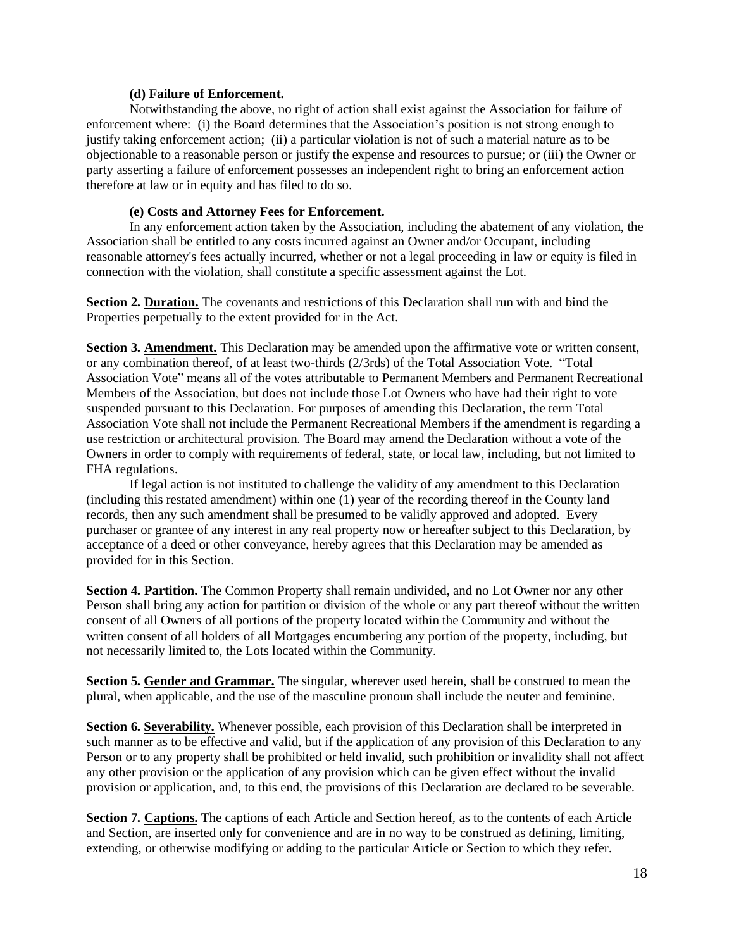#### **(d) Failure of Enforcement.**

Notwithstanding the above, no right of action shall exist against the Association for failure of enforcement where: (i) the Board determines that the Association's position is not strong enough to justify taking enforcement action; (ii) a particular violation is not of such a material nature as to be objectionable to a reasonable person or justify the expense and resources to pursue; or (iii) the Owner or party asserting a failure of enforcement possesses an independent right to bring an enforcement action therefore at law or in equity and has filed to do so.

#### **(e) Costs and Attorney Fees for Enforcement.**

In any enforcement action taken by the Association, including the abatement of any violation, the Association shall be entitled to any costs incurred against an Owner and/or Occupant, including reasonable attorney's fees actually incurred, whether or not a legal proceeding in law or equity is filed in connection with the violation, shall constitute a specific assessment against the Lot.

**Section 2. Duration.** The covenants and restrictions of this Declaration shall run with and bind the Properties perpetually to the extent provided for in the Act.

**Section 3. Amendment.** This Declaration may be amended upon the affirmative vote or written consent, or any combination thereof, of at least two-thirds (2/3rds) of the Total Association Vote. "Total Association Vote" means all of the votes attributable to Permanent Members and Permanent Recreational Members of the Association, but does not include those Lot Owners who have had their right to vote suspended pursuant to this Declaration. For purposes of amending this Declaration, the term Total Association Vote shall not include the Permanent Recreational Members if the amendment is regarding a use restriction or architectural provision. The Board may amend the Declaration without a vote of the Owners in order to comply with requirements of federal, state, or local law, including, but not limited to FHA regulations.

If legal action is not instituted to challenge the validity of any amendment to this Declaration (including this restated amendment) within one (1) year of the recording thereof in the County land records, then any such amendment shall be presumed to be validly approved and adopted. Every purchaser or grantee of any interest in any real property now or hereafter subject to this Declaration, by acceptance of a deed or other conveyance, hereby agrees that this Declaration may be amended as provided for in this Section.

**Section 4. Partition.** The Common Property shall remain undivided, and no Lot Owner nor any other Person shall bring any action for partition or division of the whole or any part thereof without the written consent of all Owners of all portions of the property located within the Community and without the written consent of all holders of all Mortgages encumbering any portion of the property, including, but not necessarily limited to, the Lots located within the Community.

**Section 5. Gender and Grammar.** The singular, wherever used herein, shall be construed to mean the plural, when applicable, and the use of the masculine pronoun shall include the neuter and feminine.

Section 6. Severability. Whenever possible, each provision of this Declaration shall be interpreted in such manner as to be effective and valid, but if the application of any provision of this Declaration to any Person or to any property shall be prohibited or held invalid, such prohibition or invalidity shall not affect any other provision or the application of any provision which can be given effect without the invalid provision or application, and, to this end, the provisions of this Declaration are declared to be severable.

**Section 7. Captions.** The captions of each Article and Section hereof, as to the contents of each Article and Section, are inserted only for convenience and are in no way to be construed as defining, limiting, extending, or otherwise modifying or adding to the particular Article or Section to which they refer.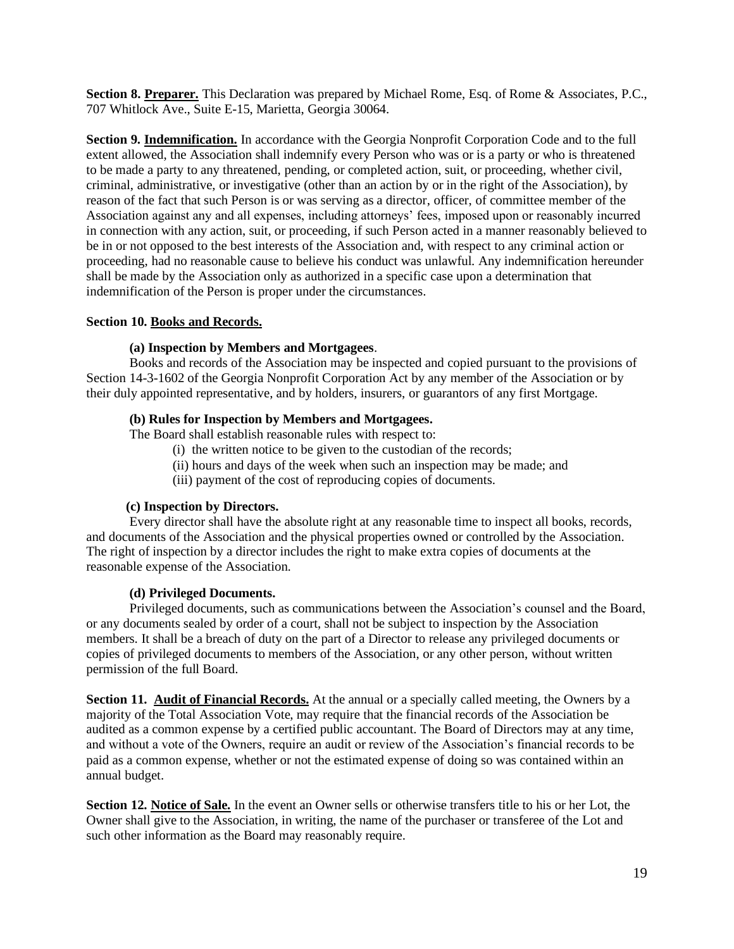**Section 8. Preparer.** This Declaration was prepared by Michael Rome, Esq. of Rome & Associates, P.C., 707 Whitlock Ave., Suite E-15, Marietta, Georgia 30064.

**Section 9. Indemnification.** In accordance with the Georgia Nonprofit Corporation Code and to the full extent allowed, the Association shall indemnify every Person who was or is a party or who is threatened to be made a party to any threatened, pending, or completed action, suit, or proceeding, whether civil, criminal, administrative, or investigative (other than an action by or in the right of the Association), by reason of the fact that such Person is or was serving as a director, officer, of committee member of the Association against any and all expenses, including attorneys' fees, imposed upon or reasonably incurred in connection with any action, suit, or proceeding, if such Person acted in a manner reasonably believed to be in or not opposed to the best interests of the Association and, with respect to any criminal action or proceeding, had no reasonable cause to believe his conduct was unlawful. Any indemnification hereunder shall be made by the Association only as authorized in a specific case upon a determination that indemnification of the Person is proper under the circumstances.

## **Section 10. Books and Records.**

## **(a) Inspection by Members and Mortgagees**.

Books and records of the Association may be inspected and copied pursuant to the provisions of Section 14-3-1602 of the Georgia Nonprofit Corporation Act by any member of the Association or by their duly appointed representative, and by holders, insurers, or guarantors of any first Mortgage.

## **(b) Rules for Inspection by Members and Mortgagees.**

The Board shall establish reasonable rules with respect to:

- (i) the written notice to be given to the custodian of the records;
- (ii) hours and days of the week when such an inspection may be made; and
- (iii) payment of the cost of reproducing copies of documents.

#### **(c) Inspection by Directors.**

Every director shall have the absolute right at any reasonable time to inspect all books, records, and documents of the Association and the physical properties owned or controlled by the Association. The right of inspection by a director includes the right to make extra copies of documents at the reasonable expense of the Association.

## **(d) Privileged Documents.**

Privileged documents, such as communications between the Association's counsel and the Board, or any documents sealed by order of a court, shall not be subject to inspection by the Association members. It shall be a breach of duty on the part of a Director to release any privileged documents or copies of privileged documents to members of the Association, or any other person, without written permission of the full Board.

**Section 11. Audit of Financial Records.** At the annual or a specially called meeting, the Owners by a majority of the Total Association Vote, may require that the financial records of the Association be audited as a common expense by a certified public accountant. The Board of Directors may at any time, and without a vote of the Owners, require an audit or review of the Association's financial records to be paid as a common expense, whether or not the estimated expense of doing so was contained within an annual budget.

**Section 12. Notice of Sale.** In the event an Owner sells or otherwise transfers title to his or her Lot, the Owner shall give to the Association, in writing, the name of the purchaser or transferee of the Lot and such other information as the Board may reasonably require.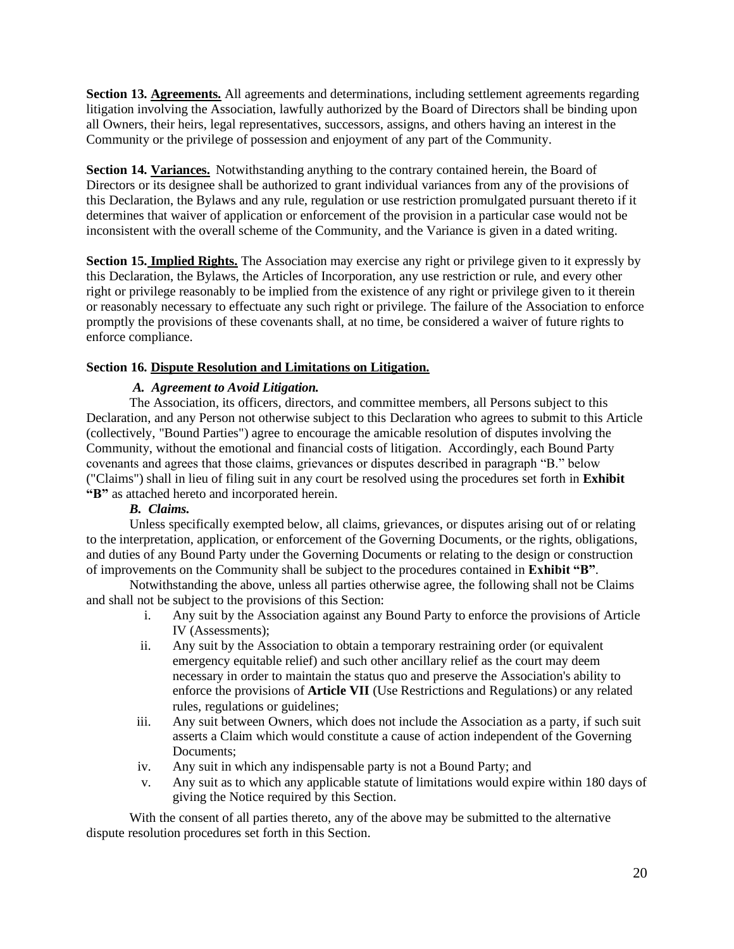**Section 13. Agreements.** All agreements and determinations, including settlement agreements regarding litigation involving the Association, lawfully authorized by the Board of Directors shall be binding upon all Owners, their heirs, legal representatives, successors, assigns, and others having an interest in the Community or the privilege of possession and enjoyment of any part of the Community.

**Section 14. Variances.** Notwithstanding anything to the contrary contained herein, the Board of Directors or its designee shall be authorized to grant individual variances from any of the provisions of this Declaration, the Bylaws and any rule, regulation or use restriction promulgated pursuant thereto if it determines that waiver of application or enforcement of the provision in a particular case would not be inconsistent with the overall scheme of the Community, and the Variance is given in a dated writing.

**Section 15. Implied Rights.** The Association may exercise any right or privilege given to it expressly by this Declaration, the Bylaws, the Articles of Incorporation, any use restriction or rule, and every other right or privilege reasonably to be implied from the existence of any right or privilege given to it therein or reasonably necessary to effectuate any such right or privilege. The failure of the Association to enforce promptly the provisions of these covenants shall, at no time, be considered a waiver of future rights to enforce compliance.

## **Section 16. Dispute Resolution and Limitations on Litigation.**

## *A. Agreement to Avoid Litigation.*

The Association, its officers, directors, and committee members, all Persons subject to this Declaration, and any Person not otherwise subject to this Declaration who agrees to submit to this Article (collectively, "Bound Parties") agree to encourage the amicable resolution of disputes involving the Community, without the emotional and financial costs of litigation. Accordingly, each Bound Party covenants and agrees that those claims, grievances or disputes described in paragraph "B." below ("Claims") shall in lieu of filing suit in any court be resolved using the procedures set forth in **Exhibit "B"** as attached hereto and incorporated herein.

## *B. Claims.*

Unless specifically exempted below, all claims, grievances, or disputes arising out of or relating to the interpretation, application, or enforcement of the Governing Documents, or the rights, obligations, and duties of any Bound Party under the Governing Documents or relating to the design or construction of improvements on the Community shall be subject to the procedures contained in **Exhibit "B"**.

Notwithstanding the above, unless all parties otherwise agree, the following shall not be Claims and shall not be subject to the provisions of this Section:

- i. Any suit by the Association against any Bound Party to enforce the provisions of Article IV (Assessments);
- ii. Any suit by the Association to obtain a temporary restraining order (or equivalent emergency equitable relief) and such other ancillary relief as the court may deem necessary in order to maintain the status quo and preserve the Association's ability to enforce the provisions of **Article VII** (Use Restrictions and Regulations) or any related rules, regulations or guidelines;
- iii. Any suit between Owners, which does not include the Association as a party, if such suit asserts a Claim which would constitute a cause of action independent of the Governing Documents;
- iv. Any suit in which any indispensable party is not a Bound Party; and
- v. Any suit as to which any applicable statute of limitations would expire within 180 days of giving the Notice required by this Section.

With the consent of all parties thereto, any of the above may be submitted to the alternative dispute resolution procedures set forth in this Section.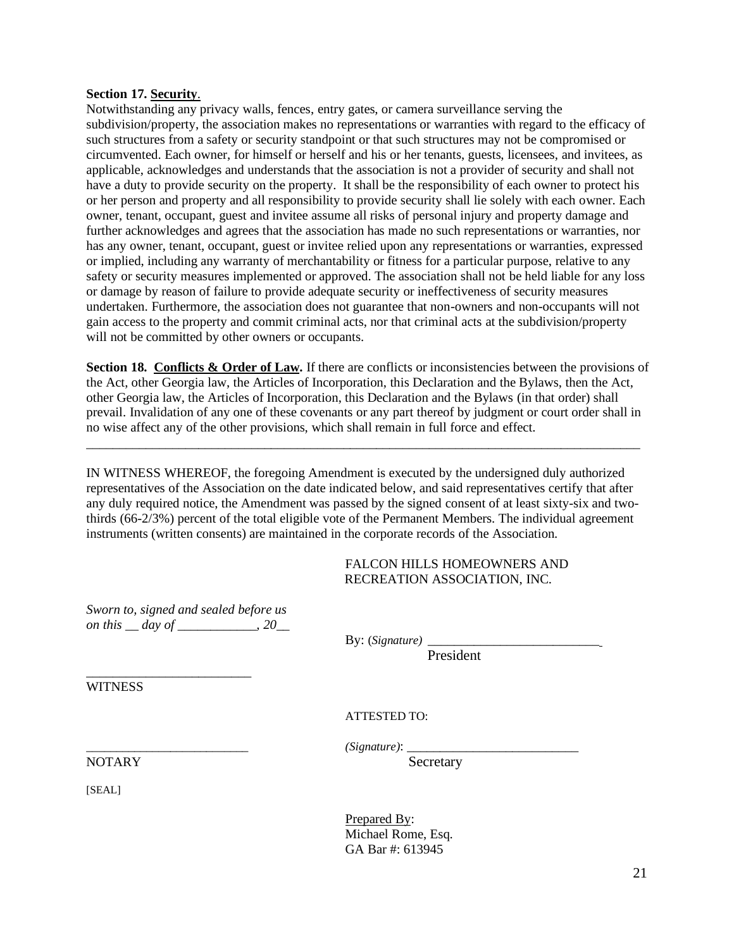#### **Section 17. Security**.

Notwithstanding any privacy walls, fences, entry gates, or camera surveillance serving the subdivision/property, the association makes no representations or warranties with regard to the efficacy of such structures from a safety or security standpoint or that such structures may not be compromised or circumvented. Each owner, for himself or herself and his or her tenants, guests, licensees, and invitees, as applicable, acknowledges and understands that the association is not a provider of security and shall not have a duty to provide security on the property. It shall be the responsibility of each owner to protect his or her person and property and all responsibility to provide security shall lie solely with each owner. Each owner, tenant, occupant, guest and invitee assume all risks of personal injury and property damage and further acknowledges and agrees that the association has made no such representations or warranties, nor has any owner, tenant, occupant, guest or invitee relied upon any representations or warranties, expressed or implied, including any warranty of merchantability or fitness for a particular purpose, relative to any safety or security measures implemented or approved. The association shall not be held liable for any loss or damage by reason of failure to provide adequate security or ineffectiveness of security measures undertaken. Furthermore, the association does not guarantee that non-owners and non-occupants will not gain access to the property and commit criminal acts, nor that criminal acts at the subdivision/property will not be committed by other owners or occupants.

**Section 18. Conflicts & Order of Law.** If there are conflicts or inconsistencies between the provisions of the Act, other Georgia law, the Articles of Incorporation, this Declaration and the Bylaws, then the Act, other Georgia law, the Articles of Incorporation, this Declaration and the Bylaws (in that order) shall prevail. Invalidation of any one of these covenants or any part thereof by judgment or court order shall in no wise affect any of the other provisions, which shall remain in full force and effect.

IN WITNESS WHEREOF, the foregoing Amendment is executed by the undersigned duly authorized representatives of the Association on the date indicated below, and said representatives certify that after any duly required notice, the Amendment was passed by the signed consent of at least sixty-six and twothirds (66-2/3%) percent of the total eligible vote of the Permanent Members. The individual agreement instruments (written consents) are maintained in the corporate records of the Association.

\_\_\_\_\_\_\_\_\_\_\_\_\_\_\_\_\_\_\_\_\_\_\_\_\_\_\_\_\_\_\_\_\_\_\_\_\_\_\_\_\_\_\_\_\_\_\_\_\_\_\_\_\_\_\_\_\_\_\_\_\_\_\_\_\_\_\_\_\_\_\_\_\_\_\_\_\_\_\_\_\_\_\_\_

## FALCON HILLS HOMEOWNERS AND RECREATION ASSOCIATION, INC.

*Sworn to, signed and sealed before us on this \_\_ day of \_\_\_\_\_\_\_\_\_\_\_\_, 20\_\_*

\_\_\_\_\_\_\_\_\_\_\_\_\_\_\_\_\_\_\_\_\_\_\_\_\_

By: (*Signature*) **\_\_\_\_\_\_\_\_\_\_\_\_\_\_\_\_\_\_\_\_** 

President

**WITNESS** 

ATTESTED TO:

*\_\_\_\_\_\_\_\_\_\_\_\_\_\_\_\_\_\_\_\_\_\_\_\_\_\_\_ (Signature)*: \_\_\_\_\_\_\_\_\_\_\_\_\_\_\_\_\_\_\_\_\_\_\_\_\_\_

Prepared By: Michael Rome, Esq. GA Bar #: 613945

NOTARY Secretary

[SEAL]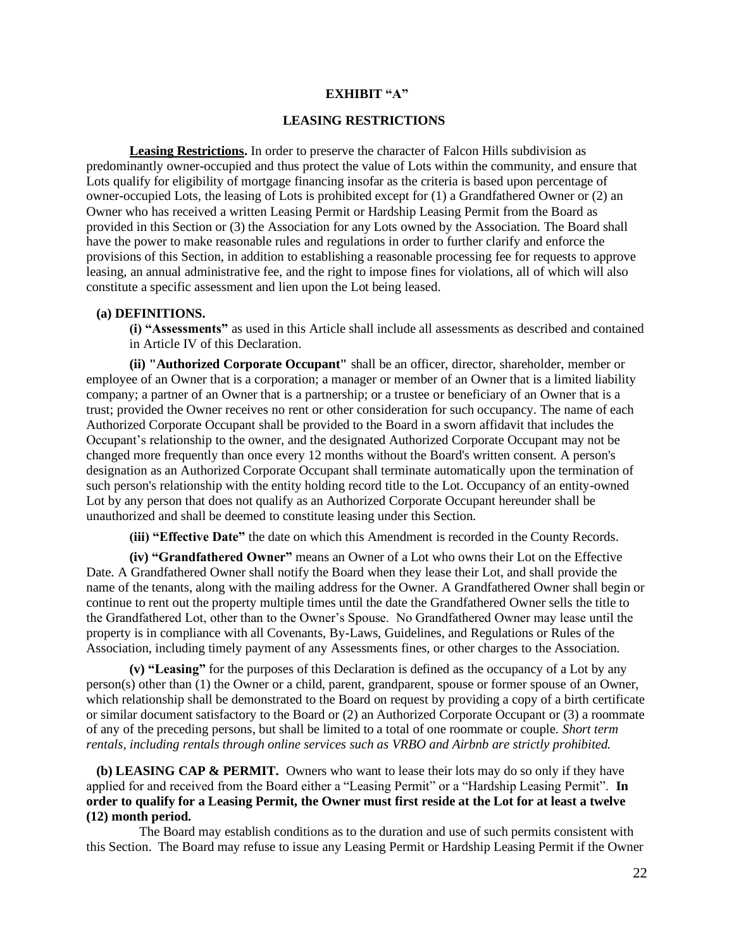#### **EXHIBIT "A"**

#### **LEASING RESTRICTIONS**

**Leasing Restrictions.** In order to preserve the character of Falcon Hills subdivision as predominantly owner-occupied and thus protect the value of Lots within the community, and ensure that Lots qualify for eligibility of mortgage financing insofar as the criteria is based upon percentage of owner-occupied Lots, the leasing of Lots is prohibited except for (1) a Grandfathered Owner or (2) an Owner who has received a written Leasing Permit or Hardship Leasing Permit from the Board as provided in this Section or (3) the Association for any Lots owned by the Association. The Board shall have the power to make reasonable rules and regulations in order to further clarify and enforce the provisions of this Section, in addition to establishing a reasonable processing fee for requests to approve leasing, an annual administrative fee, and the right to impose fines for violations, all of which will also constitute a specific assessment and lien upon the Lot being leased.

#### **(a) DEFINITIONS.**

**(i) "Assessments"** as used in this Article shall include all assessments as described and contained in Article IV of this Declaration.

**(ii) "Authorized Corporate Occupant"** shall be an officer, director, shareholder, member or employee of an Owner that is a corporation; a manager or member of an Owner that is a limited liability company; a partner of an Owner that is a partnership; or a trustee or beneficiary of an Owner that is a trust; provided the Owner receives no rent or other consideration for such occupancy. The name of each Authorized Corporate Occupant shall be provided to the Board in a sworn affidavit that includes the Occupant's relationship to the owner, and the designated Authorized Corporate Occupant may not be changed more frequently than once every 12 months without the Board's written consent. A person's designation as an Authorized Corporate Occupant shall terminate automatically upon the termination of such person's relationship with the entity holding record title to the Lot. Occupancy of an entity-owned Lot by any person that does not qualify as an Authorized Corporate Occupant hereunder shall be unauthorized and shall be deemed to constitute leasing under this Section.

**(iii) "Effective Date"** the date on which this Amendment is recorded in the County Records.

**(iv) "Grandfathered Owner"** means an Owner of a Lot who owns their Lot on the Effective Date. A Grandfathered Owner shall notify the Board when they lease their Lot, and shall provide the name of the tenants, along with the mailing address for the Owner. A Grandfathered Owner shall begin or continue to rent out the property multiple times until the date the Grandfathered Owner sells the title to the Grandfathered Lot, other than to the Owner's Spouse. No Grandfathered Owner may lease until the property is in compliance with all Covenants, By-Laws, Guidelines, and Regulations or Rules of the Association, including timely payment of any Assessments fines, or other charges to the Association.

**(v) "Leasing"** for the purposes of this Declaration is defined as the occupancy of a Lot by any person(s) other than (1) the Owner or a child, parent, grandparent, spouse or former spouse of an Owner, which relationship shall be demonstrated to the Board on request by providing a copy of a birth certificate or similar document satisfactory to the Board or (2) an Authorized Corporate Occupant or (3) a roommate of any of the preceding persons, but shall be limited to a total of one roommate or couple. *Short term rentals, including rentals through online services such as VRBO and Airbnb are strictly prohibited.* 

 **(b) LEASING CAP & PERMIT.** Owners who want to lease their lots may do so only if they have applied for and received from the Board either a "Leasing Permit" or a "Hardship Leasing Permit". **In order to qualify for a Leasing Permit, the Owner must first reside at the Lot for at least a twelve (12) month period.**

 The Board may establish conditions as to the duration and use of such permits consistent with this Section. The Board may refuse to issue any Leasing Permit or Hardship Leasing Permit if the Owner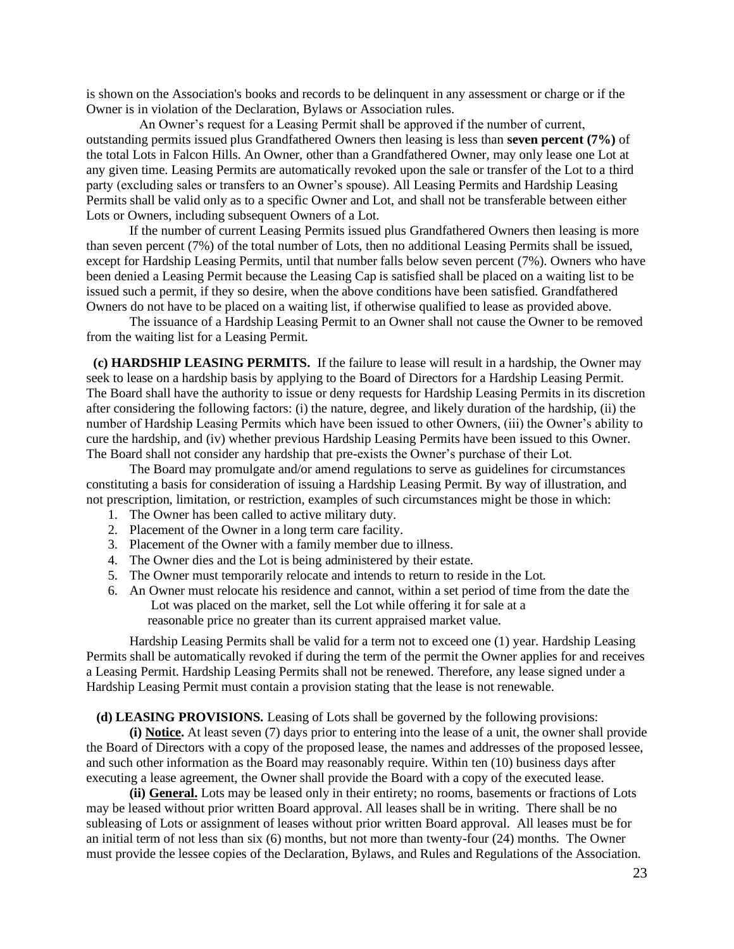is shown on the Association's books and records to be delinquent in any assessment or charge or if the Owner is in violation of the Declaration, Bylaws or Association rules.

 An Owner's request for a Leasing Permit shall be approved if the number of current, outstanding permits issued plus Grandfathered Owners then leasing is less than **seven percent (7%)** of the total Lots in Falcon Hills. An Owner, other than a Grandfathered Owner, may only lease one Lot at any given time. Leasing Permits are automatically revoked upon the sale or transfer of the Lot to a third party (excluding sales or transfers to an Owner's spouse). All Leasing Permits and Hardship Leasing Permits shall be valid only as to a specific Owner and Lot, and shall not be transferable between either Lots or Owners, including subsequent Owners of a Lot.

If the number of current Leasing Permits issued plus Grandfathered Owners then leasing is more than seven percent (7%) of the total number of Lots, then no additional Leasing Permits shall be issued, except for Hardship Leasing Permits, until that number falls below seven percent (7%). Owners who have been denied a Leasing Permit because the Leasing Cap is satisfied shall be placed on a waiting list to be issued such a permit, if they so desire, when the above conditions have been satisfied. Grandfathered Owners do not have to be placed on a waiting list, if otherwise qualified to lease as provided above.

The issuance of a Hardship Leasing Permit to an Owner shall not cause the Owner to be removed from the waiting list for a Leasing Permit.

 **(c) HARDSHIP LEASING PERMITS.** If the failure to lease will result in a hardship, the Owner may seek to lease on a hardship basis by applying to the Board of Directors for a Hardship Leasing Permit. The Board shall have the authority to issue or deny requests for Hardship Leasing Permits in its discretion after considering the following factors: (i) the nature, degree, and likely duration of the hardship, (ii) the number of Hardship Leasing Permits which have been issued to other Owners, (iii) the Owner's ability to cure the hardship, and (iv) whether previous Hardship Leasing Permits have been issued to this Owner. The Board shall not consider any hardship that pre-exists the Owner's purchase of their Lot.

The Board may promulgate and/or amend regulations to serve as guidelines for circumstances constituting a basis for consideration of issuing a Hardship Leasing Permit. By way of illustration, and not prescription, limitation, or restriction, examples of such circumstances might be those in which:

- 1. The Owner has been called to active military duty.
- 2. Placement of the Owner in a long term care facility.
- 3. Placement of the Owner with a family member due to illness.
- 4. The Owner dies and the Lot is being administered by their estate.
- 5. The Owner must temporarily relocate and intends to return to reside in the Lot.
- 6. An Owner must relocate his residence and cannot, within a set period of time from the date the Lot was placed on the market, sell the Lot while offering it for sale at a reasonable price no greater than its current appraised market value.

 Hardship Leasing Permits shall be valid for a term not to exceed one (1) year. Hardship Leasing Permits shall be automatically revoked if during the term of the permit the Owner applies for and receives a Leasing Permit. Hardship Leasing Permits shall not be renewed. Therefore, any lease signed under a Hardship Leasing Permit must contain a provision stating that the lease is not renewable.

#### **(d) LEASING PROVISIONS.** Leasing of Lots shall be governed by the following provisions:

**(i) Notice.** At least seven (7) days prior to entering into the lease of a unit, the owner shall provide the Board of Directors with a copy of the proposed lease, the names and addresses of the proposed lessee, and such other information as the Board may reasonably require. Within ten (10) business days after executing a lease agreement, the Owner shall provide the Board with a copy of the executed lease.

**(ii) General.** Lots may be leased only in their entirety; no rooms, basements or fractions of Lots may be leased without prior written Board approval. All leases shall be in writing. There shall be no subleasing of Lots or assignment of leases without prior written Board approval. All leases must be for an initial term of not less than six (6) months, but not more than twenty-four (24) months. The Owner must provide the lessee copies of the Declaration, Bylaws, and Rules and Regulations of the Association.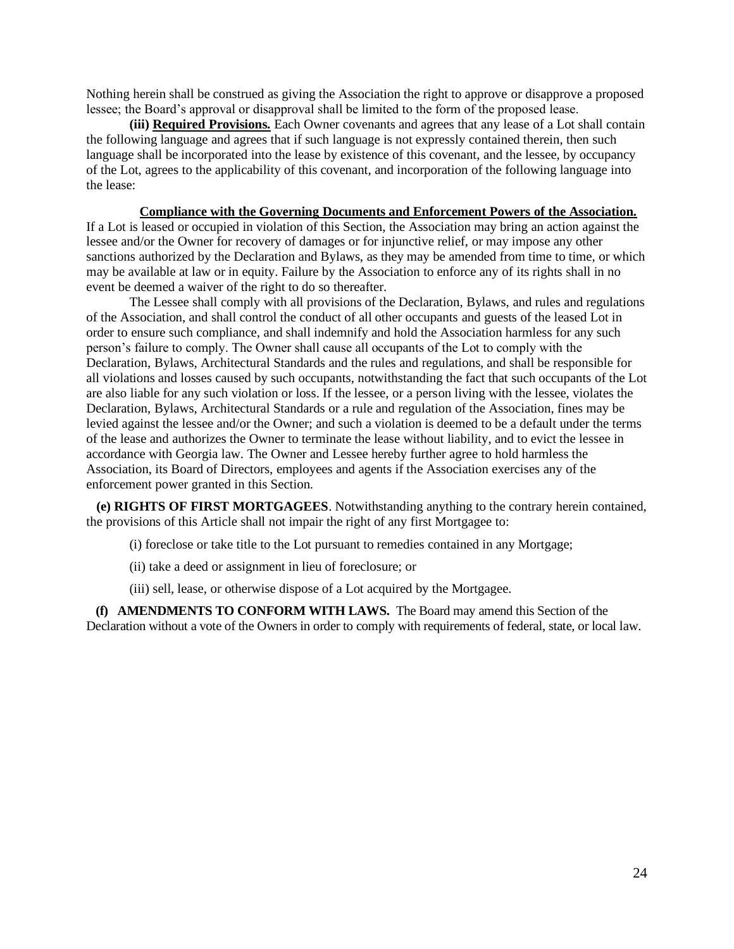Nothing herein shall be construed as giving the Association the right to approve or disapprove a proposed lessee; the Board's approval or disapproval shall be limited to the form of the proposed lease.

**(iii) Required Provisions.** Each Owner covenants and agrees that any lease of a Lot shall contain the following language and agrees that if such language is not expressly contained therein, then such language shall be incorporated into the lease by existence of this covenant, and the lessee, by occupancy of the Lot, agrees to the applicability of this covenant, and incorporation of the following language into the lease:

 **Compliance with the Governing Documents and Enforcement Powers of the Association.** 

If a Lot is leased or occupied in violation of this Section, the Association may bring an action against the lessee and/or the Owner for recovery of damages or for injunctive relief, or may impose any other sanctions authorized by the Declaration and Bylaws, as they may be amended from time to time, or which may be available at law or in equity. Failure by the Association to enforce any of its rights shall in no event be deemed a waiver of the right to do so thereafter.

The Lessee shall comply with all provisions of the Declaration, Bylaws, and rules and regulations of the Association, and shall control the conduct of all other occupants and guests of the leased Lot in order to ensure such compliance, and shall indemnify and hold the Association harmless for any such person's failure to comply. The Owner shall cause all occupants of the Lot to comply with the Declaration, Bylaws, Architectural Standards and the rules and regulations, and shall be responsible for all violations and losses caused by such occupants, notwithstanding the fact that such occupants of the Lot are also liable for any such violation or loss. If the lessee, or a person living with the lessee, violates the Declaration, Bylaws, Architectural Standards or a rule and regulation of the Association, fines may be levied against the lessee and/or the Owner; and such a violation is deemed to be a default under the terms of the lease and authorizes the Owner to terminate the lease without liability, and to evict the lessee in accordance with Georgia law. The Owner and Lessee hereby further agree to hold harmless the Association, its Board of Directors, employees and agents if the Association exercises any of the enforcement power granted in this Section.

 **(e) RIGHTS OF FIRST MORTGAGEES**. Notwithstanding anything to the contrary herein contained, the provisions of this Article shall not impair the right of any first Mortgagee to:

(i) foreclose or take title to the Lot pursuant to remedies contained in any Mortgage;

- (ii) take a deed or assignment in lieu of foreclosure; or
- (iii) sell, lease, or otherwise dispose of a Lot acquired by the Mortgagee.

 **(f) AMENDMENTS TO CONFORM WITH LAWS.** The Board may amend this Section of the Declaration without a vote of the Owners in order to comply with requirements of federal, state, or local law.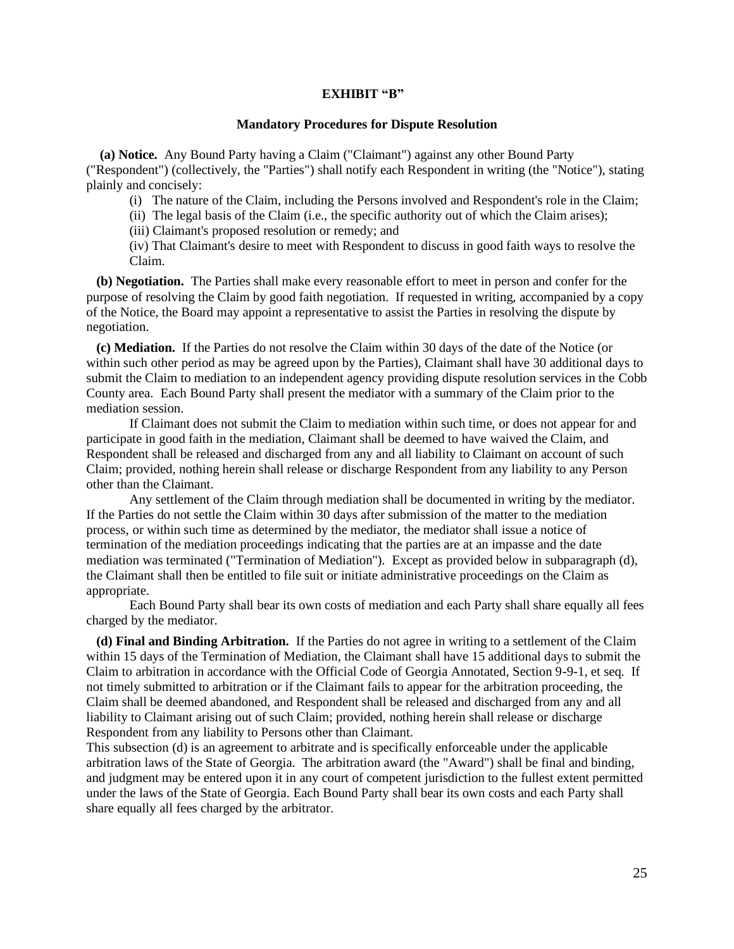#### **EXHIBIT "B"**

#### **Mandatory Procedures for Dispute Resolution**

**(a) Notice.** Any Bound Party having a Claim ("Claimant") against any other Bound Party ("Respondent") (collectively, the "Parties") shall notify each Respondent in writing (the "Notice"), stating plainly and concisely:

(i) The nature of the Claim, including the Persons involved and Respondent's role in the Claim;

(ii) The legal basis of the Claim (i.e., the specific authority out of which the Claim arises);

(iii) Claimant's proposed resolution or remedy; and

(iv) That Claimant's desire to meet with Respondent to discuss in good faith ways to resolve the Claim.

**(b) Negotiation.** The Parties shall make every reasonable effort to meet in person and confer for the purpose of resolving the Claim by good faith negotiation. If requested in writing, accompanied by a copy of the Notice, the Board may appoint a representative to assist the Parties in resolving the dispute by negotiation.

 **(c) Mediation.** If the Parties do not resolve the Claim within 30 days of the date of the Notice (or within such other period as may be agreed upon by the Parties), Claimant shall have 30 additional days to submit the Claim to mediation to an independent agency providing dispute resolution services in the Cobb County area. Each Bound Party shall present the mediator with a summary of the Claim prior to the mediation session.

If Claimant does not submit the Claim to mediation within such time, or does not appear for and participate in good faith in the mediation, Claimant shall be deemed to have waived the Claim, and Respondent shall be released and discharged from any and all liability to Claimant on account of such Claim; provided, nothing herein shall release or discharge Respondent from any liability to any Person other than the Claimant.

Any settlement of the Claim through mediation shall be documented in writing by the mediator. If the Parties do not settle the Claim within 30 days after submission of the matter to the mediation process, or within such time as determined by the mediator, the mediator shall issue a notice of termination of the mediation proceedings indicating that the parties are at an impasse and the date mediation was terminated ("Termination of Mediation"). Except as provided below in subparagraph (d), the Claimant shall then be entitled to file suit or initiate administrative proceedings on the Claim as appropriate.

Each Bound Party shall bear its own costs of mediation and each Party shall share equally all fees charged by the mediator.

 **(d) Final and Binding Arbitration.** If the Parties do not agree in writing to a settlement of the Claim within 15 days of the Termination of Mediation, the Claimant shall have 15 additional days to submit the Claim to arbitration in accordance with the Official Code of Georgia Annotated, Section 9-9-1, et seq. If not timely submitted to arbitration or if the Claimant fails to appear for the arbitration proceeding, the Claim shall be deemed abandoned, and Respondent shall be released and discharged from any and all liability to Claimant arising out of such Claim; provided, nothing herein shall release or discharge Respondent from any liability to Persons other than Claimant.

This subsection (d) is an agreement to arbitrate and is specifically enforceable under the applicable arbitration laws of the State of Georgia. The arbitration award (the "Award") shall be final and binding, and judgment may be entered upon it in any court of competent jurisdiction to the fullest extent permitted under the laws of the State of Georgia. Each Bound Party shall bear its own costs and each Party shall share equally all fees charged by the arbitrator.